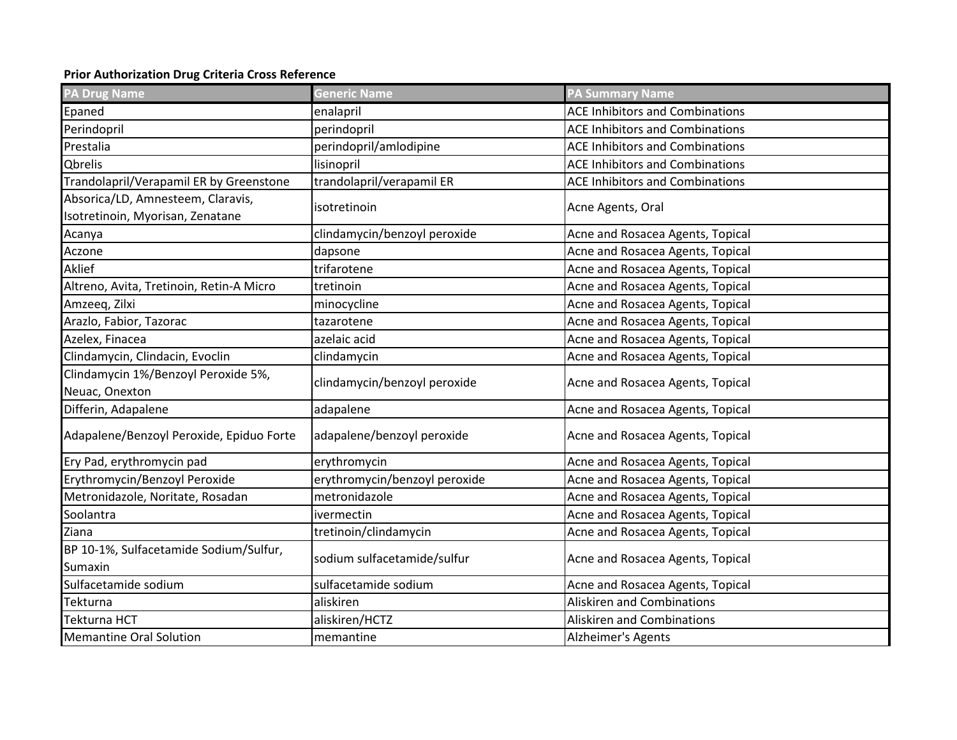## **Prior Authorization Drug Criteria Cross Reference**

| <b>PA Drug Name</b>                      | <b>Generic Name</b>           | <b>PA Summary Name</b>                 |
|------------------------------------------|-------------------------------|----------------------------------------|
| Epaned                                   | enalapril                     | <b>ACE Inhibitors and Combinations</b> |
| Perindopril                              | perindopril                   | <b>ACE Inhibitors and Combinations</b> |
| Prestalia                                | perindopril/amlodipine        | <b>ACE Inhibitors and Combinations</b> |
| Qbrelis                                  | lisinopril                    | <b>ACE Inhibitors and Combinations</b> |
| Trandolapril/Verapamil ER by Greenstone  | trandolapril/verapamil ER     | <b>ACE Inhibitors and Combinations</b> |
| Absorica/LD, Amnesteem, Claravis,        | isotretinoin                  | Acne Agents, Oral                      |
| Isotretinoin, Myorisan, Zenatane         |                               |                                        |
| Acanya                                   | clindamycin/benzoyl peroxide  | Acne and Rosacea Agents, Topical       |
| Aczone                                   | dapsone                       | Acne and Rosacea Agents, Topical       |
| Aklief                                   | trifarotene                   | Acne and Rosacea Agents, Topical       |
| Altreno, Avita, Tretinoin, Retin-A Micro | tretinoin                     | Acne and Rosacea Agents, Topical       |
| Amzeeq, Zilxi                            | minocycline                   | Acne and Rosacea Agents, Topical       |
| Arazlo, Fabior, Tazorac                  | tazarotene                    | Acne and Rosacea Agents, Topical       |
| Azelex, Finacea                          | azelaic acid                  | Acne and Rosacea Agents, Topical       |
| Clindamycin, Clindacin, Evoclin          | clindamycin                   | Acne and Rosacea Agents, Topical       |
| Clindamycin 1%/Benzoyl Peroxide 5%,      |                               | Acne and Rosacea Agents, Topical       |
| Neuac, Onexton                           | clindamycin/benzoyl peroxide  |                                        |
| Differin, Adapalene                      | adapalene                     | Acne and Rosacea Agents, Topical       |
| Adapalene/Benzoyl Peroxide, Epiduo Forte | adapalene/benzoyl peroxide    | Acne and Rosacea Agents, Topical       |
| Ery Pad, erythromycin pad                | erythromycin                  | Acne and Rosacea Agents, Topical       |
| Erythromycin/Benzoyl Peroxide            | erythromycin/benzoyl peroxide | Acne and Rosacea Agents, Topical       |
| Metronidazole, Noritate, Rosadan         | metronidazole                 | Acne and Rosacea Agents, Topical       |
| Soolantra                                | ivermectin                    | Acne and Rosacea Agents, Topical       |
| Ziana                                    | tretinoin/clindamycin         | Acne and Rosacea Agents, Topical       |
| BP 10-1%, Sulfacetamide Sodium/Sulfur,   |                               |                                        |
| Sumaxin                                  | sodium sulfacetamide/sulfur   | Acne and Rosacea Agents, Topical       |
| Sulfacetamide sodium                     | sulfacetamide sodium          | Acne and Rosacea Agents, Topical       |
| Tekturna                                 | aliskiren                     | <b>Aliskiren and Combinations</b>      |
| Tekturna HCT                             | aliskiren/HCTZ                | <b>Aliskiren and Combinations</b>      |
| <b>Memantine Oral Solution</b>           | memantine                     | Alzheimer's Agents                     |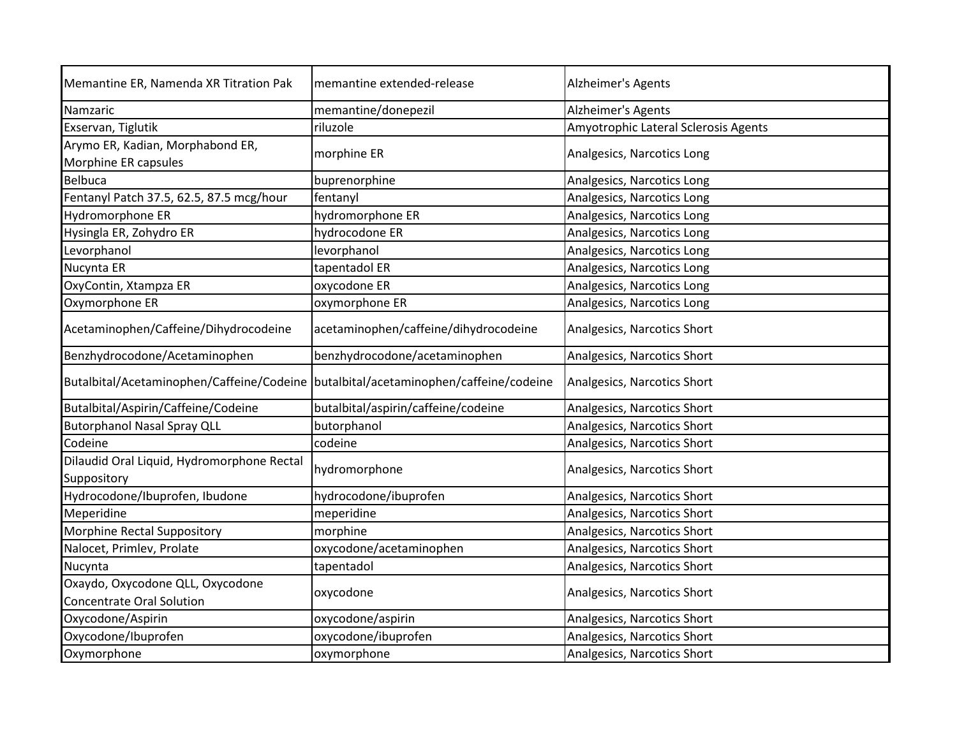| Memantine ER, Namenda XR Titration Pak                                              | memantine extended-release            | Alzheimer's Agents                   |
|-------------------------------------------------------------------------------------|---------------------------------------|--------------------------------------|
| Namzaric                                                                            | memantine/donepezil                   | Alzheimer's Agents                   |
| Exservan, Tiglutik                                                                  | riluzole                              | Amyotrophic Lateral Sclerosis Agents |
| Arymo ER, Kadian, Morphabond ER,<br>Morphine ER capsules                            | morphine ER                           | Analgesics, Narcotics Long           |
| <b>Belbuca</b>                                                                      | buprenorphine                         | Analgesics, Narcotics Long           |
| Fentanyl Patch 37.5, 62.5, 87.5 mcg/hour                                            | fentanyl                              | Analgesics, Narcotics Long           |
| Hydromorphone ER                                                                    | hydromorphone ER                      | Analgesics, Narcotics Long           |
| Hysingla ER, Zohydro ER                                                             | hydrocodone ER                        | Analgesics, Narcotics Long           |
| Levorphanol                                                                         | levorphanol                           | Analgesics, Narcotics Long           |
| Nucynta ER                                                                          | tapentadol ER                         | Analgesics, Narcotics Long           |
| OxyContin, Xtampza ER                                                               | oxycodone ER                          | Analgesics, Narcotics Long           |
| Oxymorphone ER                                                                      | oxymorphone ER                        | Analgesics, Narcotics Long           |
| Acetaminophen/Caffeine/Dihydrocodeine                                               | acetaminophen/caffeine/dihydrocodeine | Analgesics, Narcotics Short          |
| Benzhydrocodone/Acetaminophen                                                       | benzhydrocodone/acetaminophen         | Analgesics, Narcotics Short          |
| Butalbital/Acetaminophen/Caffeine/Codeine butalbital/acetaminophen/caffeine/codeine |                                       | Analgesics, Narcotics Short          |
| Butalbital/Aspirin/Caffeine/Codeine                                                 | butalbital/aspirin/caffeine/codeine   | Analgesics, Narcotics Short          |
| <b>Butorphanol Nasal Spray QLL</b>                                                  | butorphanol                           | Analgesics, Narcotics Short          |
| Codeine                                                                             | codeine                               | Analgesics, Narcotics Short          |
| Dilaudid Oral Liquid, Hydromorphone Rectal<br>Suppository                           | hydromorphone                         | Analgesics, Narcotics Short          |
| Hydrocodone/Ibuprofen, Ibudone                                                      | hydrocodone/ibuprofen                 | Analgesics, Narcotics Short          |
| Meperidine                                                                          | meperidine                            | Analgesics, Narcotics Short          |
| Morphine Rectal Suppository                                                         | morphine                              | Analgesics, Narcotics Short          |
| Nalocet, Primlev, Prolate                                                           | oxycodone/acetaminophen               | Analgesics, Narcotics Short          |
| Nucynta                                                                             | tapentadol                            | Analgesics, Narcotics Short          |
| Oxaydo, Oxycodone QLL, Oxycodone<br><b>Concentrate Oral Solution</b>                | oxycodone                             | Analgesics, Narcotics Short          |
| Oxycodone/Aspirin                                                                   | oxycodone/aspirin                     | Analgesics, Narcotics Short          |
| Oxycodone/Ibuprofen                                                                 | oxycodone/ibuprofen                   | Analgesics, Narcotics Short          |
| Oxymorphone                                                                         | oxymorphone                           | Analgesics, Narcotics Short          |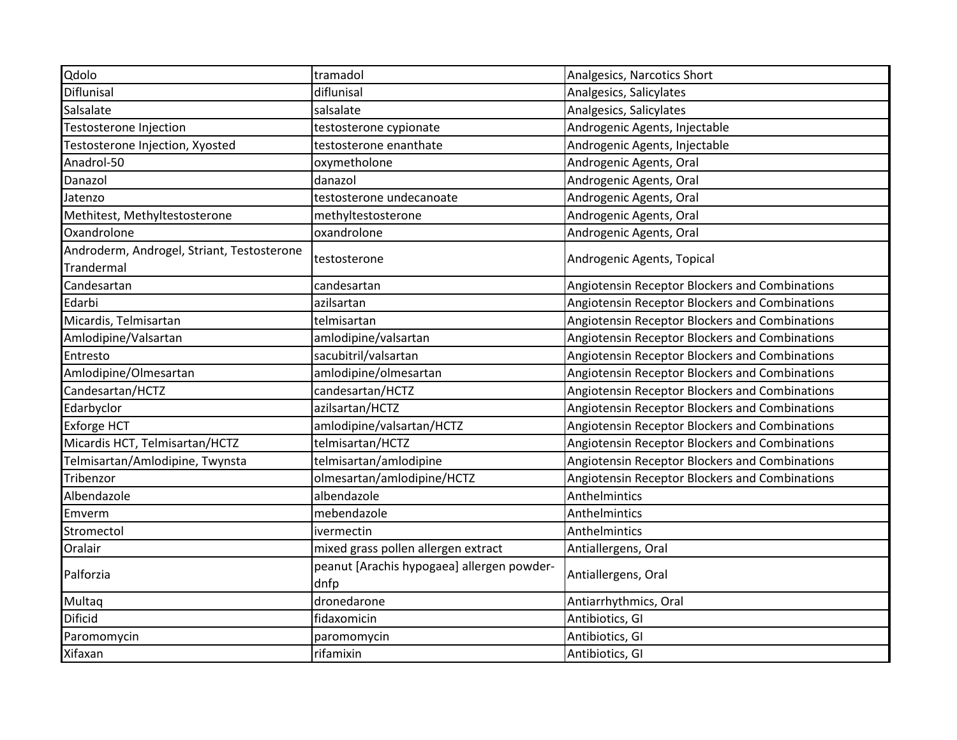| Diflunisal<br>Salsalate                    | diflunisal                                 | Analgesics, Salicylates                        |
|--------------------------------------------|--------------------------------------------|------------------------------------------------|
|                                            |                                            |                                                |
|                                            | salsalate                                  | Analgesics, Salicylates                        |
| Testosterone Injection                     | testosterone cypionate                     | Androgenic Agents, Injectable                  |
| Testosterone Injection, Xyosted            | testosterone enanthate                     | Androgenic Agents, Injectable                  |
| Anadrol-50                                 | oxymetholone                               | Androgenic Agents, Oral                        |
| Danazol                                    | danazol                                    | Androgenic Agents, Oral                        |
| Jatenzo                                    | testosterone undecanoate                   | Androgenic Agents, Oral                        |
| Methitest, Methyltestosterone              | methyltestosterone                         | Androgenic Agents, Oral                        |
| Oxandrolone                                | oxandrolone                                | Androgenic Agents, Oral                        |
| Androderm, Androgel, Striant, Testosterone |                                            | Androgenic Agents, Topical                     |
| Trandermal                                 | testosterone                               |                                                |
| Candesartan                                | candesartan                                | Angiotensin Receptor Blockers and Combinations |
| Edarbi                                     | azilsartan                                 | Angiotensin Receptor Blockers and Combinations |
| Micardis, Telmisartan                      | telmisartan                                | Angiotensin Receptor Blockers and Combinations |
| Amlodipine/Valsartan                       | amlodipine/valsartan                       | Angiotensin Receptor Blockers and Combinations |
| Entresto                                   | sacubitril/valsartan                       | Angiotensin Receptor Blockers and Combinations |
| Amlodipine/Olmesartan                      | amlodipine/olmesartan                      | Angiotensin Receptor Blockers and Combinations |
| Candesartan/HCTZ                           | candesartan/HCTZ                           | Angiotensin Receptor Blockers and Combinations |
| Edarbyclor                                 | azilsartan/HCTZ                            | Angiotensin Receptor Blockers and Combinations |
| <b>Exforge HCT</b>                         | amlodipine/valsartan/HCTZ                  | Angiotensin Receptor Blockers and Combinations |
| Micardis HCT, Telmisartan/HCTZ             | telmisartan/HCTZ                           | Angiotensin Receptor Blockers and Combinations |
| Telmisartan/Amlodipine, Twynsta            | telmisartan/amlodipine                     | Angiotensin Receptor Blockers and Combinations |
| Tribenzor                                  | olmesartan/amlodipine/HCTZ                 | Angiotensin Receptor Blockers and Combinations |
| Albendazole                                | albendazole                                | Anthelmintics                                  |
| Emverm                                     | mebendazole                                | Anthelmintics                                  |
| Stromectol                                 | ivermectin                                 | Anthelmintics                                  |
| Oralair                                    | mixed grass pollen allergen extract        | Antiallergens, Oral                            |
| Palforzia                                  | peanut [Arachis hypogaea] allergen powder- | Antiallergens, Oral                            |
|                                            | dnfp                                       |                                                |
| Multaq                                     | dronedarone                                | Antiarrhythmics, Oral                          |
| <b>Dificid</b>                             | fidaxomicin                                | Antibiotics, GI                                |
| Paromomycin                                | paromomycin                                | Antibiotics, GI                                |
| Xifaxan                                    | rifamixin                                  | Antibiotics, GI                                |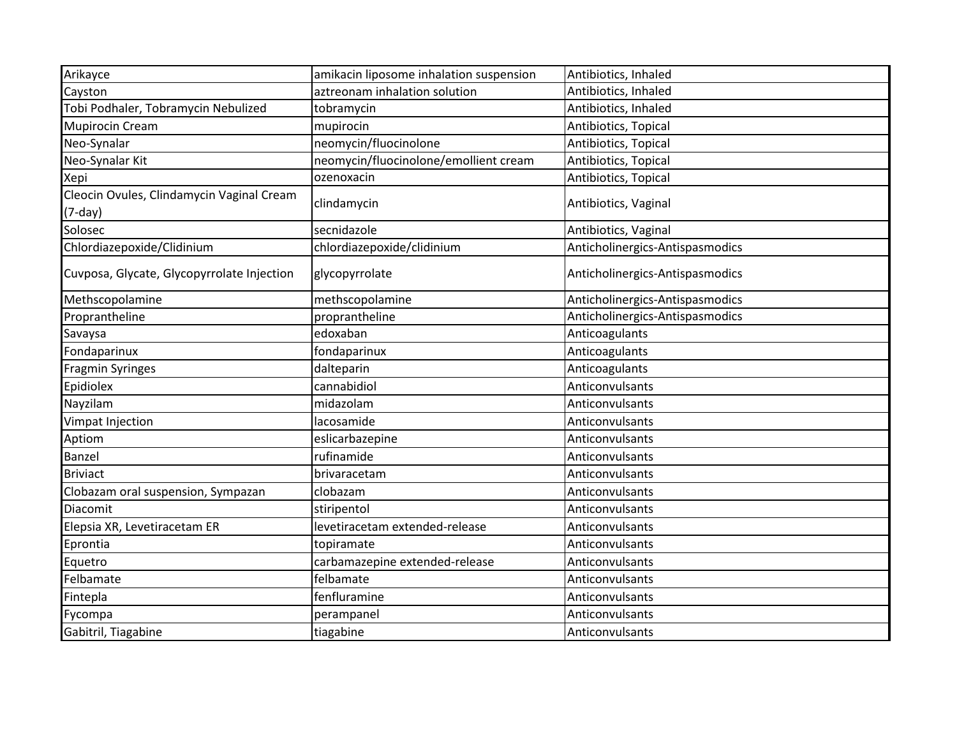| Arikayce                                               | amikacin liposome inhalation suspension | Antibiotics, Inhaled            |
|--------------------------------------------------------|-----------------------------------------|---------------------------------|
| Cayston                                                | aztreonam inhalation solution           | Antibiotics, Inhaled            |
| Tobi Podhaler, Tobramycin Nebulized                    | tobramycin                              | Antibiotics, Inhaled            |
| <b>Mupirocin Cream</b>                                 | mupirocin                               | Antibiotics, Topical            |
| Neo-Synalar                                            | neomycin/fluocinolone                   | Antibiotics, Topical            |
| Neo-Synalar Kit                                        | neomycin/fluocinolone/emollient cream   | Antibiotics, Topical            |
| Xepi                                                   | ozenoxacin                              | Antibiotics, Topical            |
| Cleocin Ovules, Clindamycin Vaginal Cream<br>$(7-day)$ | clindamycin                             | Antibiotics, Vaginal            |
| Solosec                                                | secnidazole                             | Antibiotics, Vaginal            |
| Chlordiazepoxide/Clidinium                             | chlordiazepoxide/clidinium              | Anticholinergics-Antispasmodics |
| Cuvposa, Glycate, Glycopyrrolate Injection             | glycopyrrolate                          | Anticholinergics-Antispasmodics |
| Methscopolamine                                        | methscopolamine                         | Anticholinergics-Antispasmodics |
| Proprantheline                                         | proprantheline                          | Anticholinergics-Antispasmodics |
| Savaysa                                                | edoxaban                                | Anticoagulants                  |
| Fondaparinux                                           | fondaparinux                            | Anticoagulants                  |
| <b>Fragmin Syringes</b>                                | dalteparin                              | Anticoagulants                  |
| Epidiolex                                              | cannabidiol                             | Anticonvulsants                 |
| Nayzilam                                               | midazolam                               | Anticonvulsants                 |
| Vimpat Injection                                       | lacosamide                              | Anticonvulsants                 |
| Aptiom                                                 | eslicarbazepine                         | Anticonvulsants                 |
| Banzel                                                 | rufinamide                              | Anticonvulsants                 |
| <b>Briviact</b>                                        | brivaracetam                            | Anticonvulsants                 |
| Clobazam oral suspension, Sympazan                     | clobazam                                | Anticonvulsants                 |
| Diacomit                                               | stiripentol                             | Anticonvulsants                 |
| Elepsia XR, Levetiracetam ER                           | levetiracetam extended-release          | Anticonvulsants                 |
| Eprontia                                               | topiramate                              | Anticonvulsants                 |
| Equetro                                                | carbamazepine extended-release          | Anticonvulsants                 |
| Felbamate                                              | felbamate                               | Anticonvulsants                 |
| Fintepla                                               | fenfluramine                            | Anticonvulsants                 |
| Fycompa                                                | perampanel                              | Anticonvulsants                 |
| Gabitril, Tiagabine                                    | tiagabine                               | Anticonvulsants                 |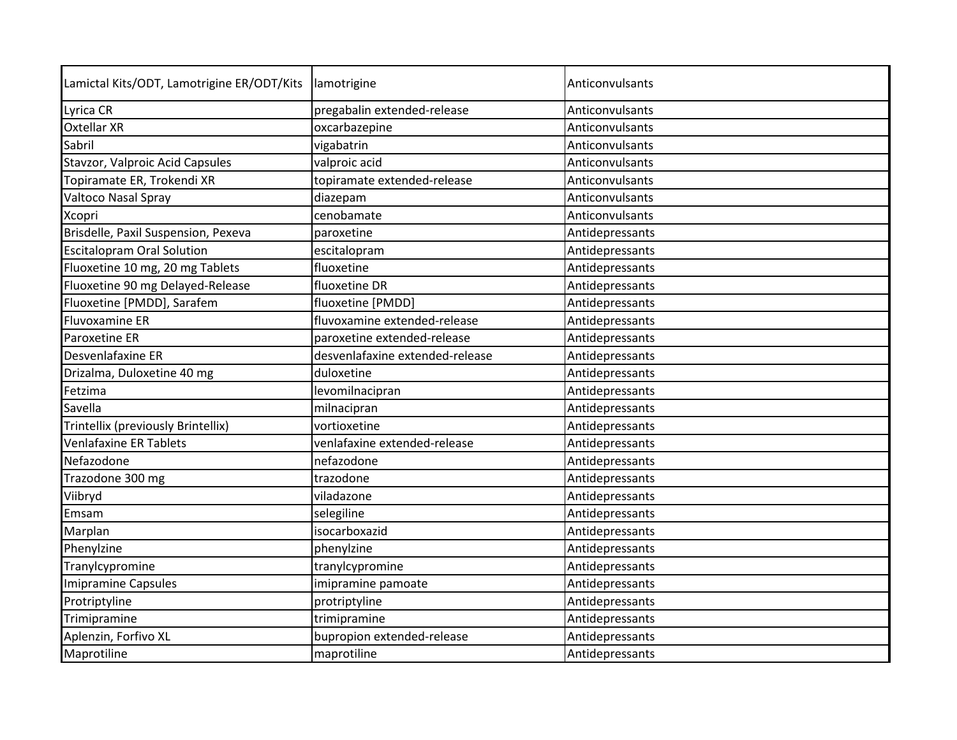| Lamictal Kits/ODT, Lamotrigine ER/ODT/Kits | lamotrigine                     | Anticonvulsants |
|--------------------------------------------|---------------------------------|-----------------|
| Lyrica CR                                  | pregabalin extended-release     | Anticonvulsants |
| <b>Oxtellar XR</b>                         | oxcarbazepine                   | Anticonvulsants |
| Sabril                                     | vigabatrin                      | Anticonvulsants |
| Stavzor, Valproic Acid Capsules            | valproic acid                   | Anticonvulsants |
| Topiramate ER, Trokendi XR                 | topiramate extended-release     | Anticonvulsants |
| <b>Valtoco Nasal Spray</b>                 | diazepam                        | Anticonvulsants |
| <b>Xcopri</b>                              | cenobamate                      | Anticonvulsants |
| Brisdelle, Paxil Suspension, Pexeva        | paroxetine                      | Antidepressants |
| <b>Escitalopram Oral Solution</b>          | escitalopram                    | Antidepressants |
| Fluoxetine 10 mg, 20 mg Tablets            | fluoxetine                      | Antidepressants |
| Fluoxetine 90 mg Delayed-Release           | fluoxetine DR                   | Antidepressants |
| Fluoxetine [PMDD], Sarafem                 | fluoxetine [PMDD]               | Antidepressants |
| <b>Fluvoxamine ER</b>                      | fluvoxamine extended-release    | Antidepressants |
| Paroxetine ER                              | paroxetine extended-release     | Antidepressants |
| Desvenlafaxine ER                          | desvenlafaxine extended-release | Antidepressants |
| Drizalma, Duloxetine 40 mg                 | duloxetine                      | Antidepressants |
| Fetzima                                    | levomilnacipran                 | Antidepressants |
| Savella                                    | milnacipran                     | Antidepressants |
| Trintellix (previously Brintellix)         | vortioxetine                    | Antidepressants |
| Venlafaxine ER Tablets                     | venlafaxine extended-release    | Antidepressants |
| Nefazodone                                 | nefazodone                      | Antidepressants |
| Trazodone 300 mg                           | trazodone                       | Antidepressants |
| Viibryd                                    | viladazone                      | Antidepressants |
| Emsam                                      | selegiline                      | Antidepressants |
| Marplan                                    | isocarboxazid                   | Antidepressants |
| Phenylzine                                 | phenylzine                      | Antidepressants |
| Tranylcypromine                            | tranylcypromine                 | Antidepressants |
| Imipramine Capsules                        | imipramine pamoate              | Antidepressants |
| Protriptyline                              | protriptyline                   | Antidepressants |
| Trimipramine                               | trimipramine                    | Antidepressants |
| Aplenzin, Forfivo XL                       | bupropion extended-release      | Antidepressants |
| Maprotiline                                | maprotiline                     | Antidepressants |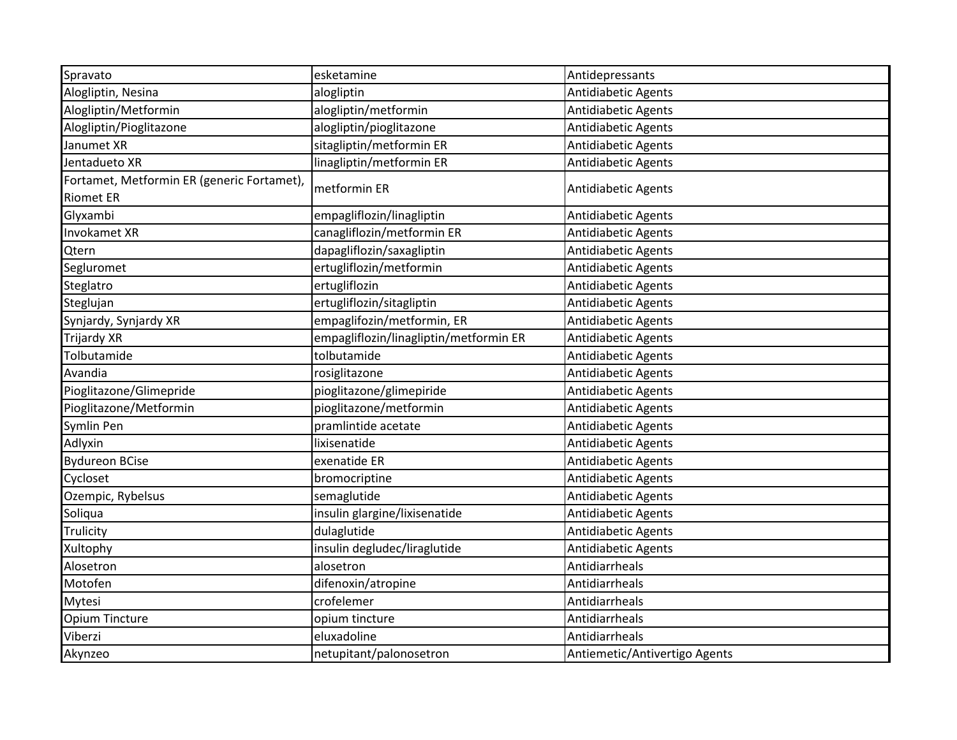| Spravato                                   | esketamine                             | Antidepressants               |
|--------------------------------------------|----------------------------------------|-------------------------------|
| Alogliptin, Nesina                         | alogliptin                             | Antidiabetic Agents           |
| Alogliptin/Metformin                       | alogliptin/metformin                   | Antidiabetic Agents           |
| Alogliptin/Pioglitazone                    | alogliptin/pioglitazone                | Antidiabetic Agents           |
| Janumet XR                                 | sitagliptin/metformin ER               | Antidiabetic Agents           |
| Jentadueto XR                              | linagliptin/metformin ER               | Antidiabetic Agents           |
| Fortamet, Metformin ER (generic Fortamet), |                                        |                               |
| <b>Riomet ER</b>                           | metformin ER                           | <b>Antidiabetic Agents</b>    |
| Glyxambi                                   | empagliflozin/linagliptin              | Antidiabetic Agents           |
| Invokamet XR                               | canagliflozin/metformin ER             | Antidiabetic Agents           |
| Qtern                                      | dapagliflozin/saxagliptin              | Antidiabetic Agents           |
| Segluromet                                 | ertugliflozin/metformin                | Antidiabetic Agents           |
| Steglatro                                  | ertugliflozin                          | Antidiabetic Agents           |
| Steglujan                                  | ertugliflozin/sitagliptin              | Antidiabetic Agents           |
| Synjardy, Synjardy XR                      | empaglifozin/metformin, ER             | Antidiabetic Agents           |
| <b>Trijardy XR</b>                         | empagliflozin/linagliptin/metformin ER | Antidiabetic Agents           |
| Tolbutamide                                | tolbutamide                            | Antidiabetic Agents           |
| Avandia                                    | rosiglitazone                          | Antidiabetic Agents           |
| Pioglitazone/Glimepride                    | pioglitazone/glimepiride               | Antidiabetic Agents           |
| Pioglitazone/Metformin                     | pioglitazone/metformin                 | Antidiabetic Agents           |
| Symlin Pen                                 | pramlintide acetate                    | Antidiabetic Agents           |
| Adlyxin                                    | lixisenatide                           | Antidiabetic Agents           |
| <b>Bydureon BCise</b>                      | exenatide ER                           | Antidiabetic Agents           |
| Cycloset                                   | bromocriptine                          | Antidiabetic Agents           |
| Ozempic, Rybelsus                          | semaglutide                            | Antidiabetic Agents           |
| Soliqua                                    | insulin glargine/lixisenatide          | Antidiabetic Agents           |
| Trulicity                                  | dulaglutide                            | Antidiabetic Agents           |
| Xultophy                                   | insulin degludec/liraglutide           | Antidiabetic Agents           |
| Alosetron                                  | alosetron                              | Antidiarrheals                |
| Motofen                                    | difenoxin/atropine                     | Antidiarrheals                |
| Mytesi                                     | crofelemer                             | Antidiarrheals                |
| Opium Tincture                             | opium tincture                         | Antidiarrheals                |
| Viberzi                                    | eluxadoline                            | Antidiarrheals                |
| Akynzeo                                    | netupitant/palonosetron                | Antiemetic/Antivertigo Agents |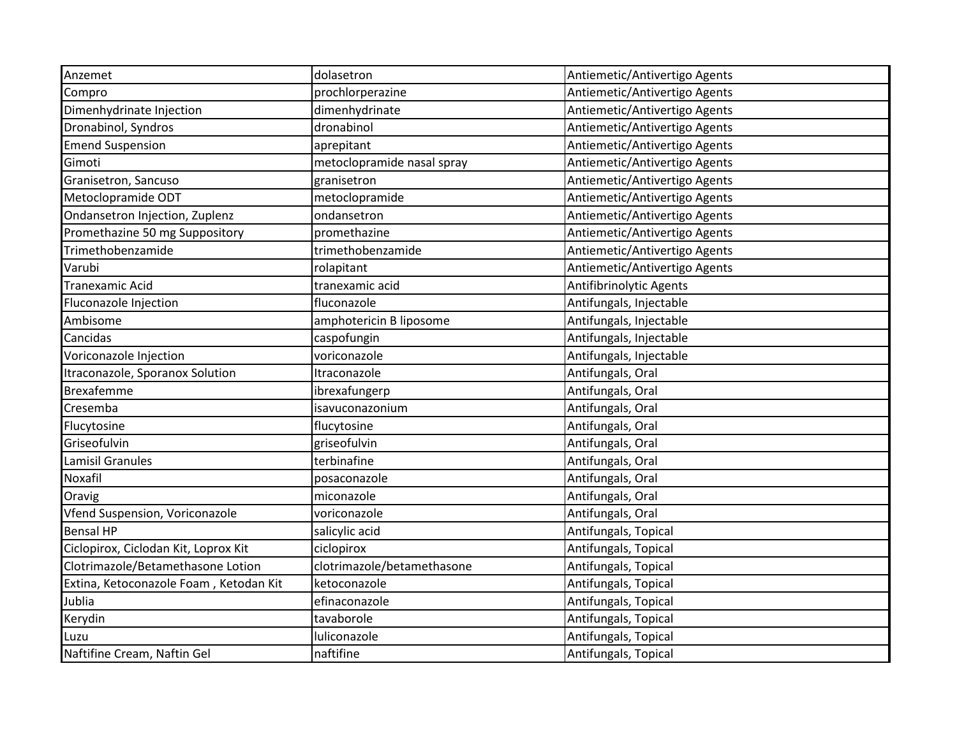| Anzemet                                | dolasetron                 | Antiemetic/Antivertigo Agents |
|----------------------------------------|----------------------------|-------------------------------|
| Compro                                 | prochlorperazine           | Antiemetic/Antivertigo Agents |
| Dimenhydrinate Injection               | dimenhydrinate             | Antiemetic/Antivertigo Agents |
| Dronabinol, Syndros                    | dronabinol                 | Antiemetic/Antivertigo Agents |
| <b>Emend Suspension</b>                | aprepitant                 | Antiemetic/Antivertigo Agents |
| Gimoti                                 | metoclopramide nasal spray | Antiemetic/Antivertigo Agents |
| Granisetron, Sancuso                   | granisetron                | Antiemetic/Antivertigo Agents |
| Metoclopramide ODT                     | metoclopramide             | Antiemetic/Antivertigo Agents |
| Ondansetron Injection, Zuplenz         | ondansetron                | Antiemetic/Antivertigo Agents |
| Promethazine 50 mg Suppository         | promethazine               | Antiemetic/Antivertigo Agents |
| Trimethobenzamide                      | trimethobenzamide          | Antiemetic/Antivertigo Agents |
| Varubi                                 | rolapitant                 | Antiemetic/Antivertigo Agents |
| <b>Tranexamic Acid</b>                 | tranexamic acid            | Antifibrinolytic Agents       |
| Fluconazole Injection                  | fluconazole                | Antifungals, Injectable       |
| Ambisome                               | amphotericin B liposome    | Antifungals, Injectable       |
| Cancidas                               | caspofungin                | Antifungals, Injectable       |
| Voriconazole Injection                 | voriconazole               | Antifungals, Injectable       |
| Itraconazole, Sporanox Solution        | Itraconazole               | Antifungals, Oral             |
| <b>Brexafemme</b>                      | ibrexafungerp              | Antifungals, Oral             |
| Cresemba                               | isavuconazonium            | Antifungals, Oral             |
| Flucytosine                            | flucytosine                | Antifungals, Oral             |
| Griseofulvin                           | griseofulvin               | Antifungals, Oral             |
| <b>Lamisil Granules</b>                | terbinafine                | Antifungals, Oral             |
| Noxafil                                | posaconazole               | Antifungals, Oral             |
| Oravig                                 | miconazole                 | Antifungals, Oral             |
| Vfend Suspension, Voriconazole         | voriconazole               | Antifungals, Oral             |
| <b>Bensal HP</b>                       | salicylic acid             | Antifungals, Topical          |
| Ciclopirox, Ciclodan Kit, Loprox Kit   | ciclopirox                 | Antifungals, Topical          |
| Clotrimazole/Betamethasone Lotion      | clotrimazole/betamethasone | Antifungals, Topical          |
| Extina, Ketoconazole Foam, Ketodan Kit | ketoconazole               | Antifungals, Topical          |
| Jublia                                 | efinaconazole              | Antifungals, Topical          |
| Kerydin                                | tavaborole                 | Antifungals, Topical          |
| Luzu                                   | luliconazole               | Antifungals, Topical          |
| Naftifine Cream, Naftin Gel            | naftifine                  | Antifungals, Topical          |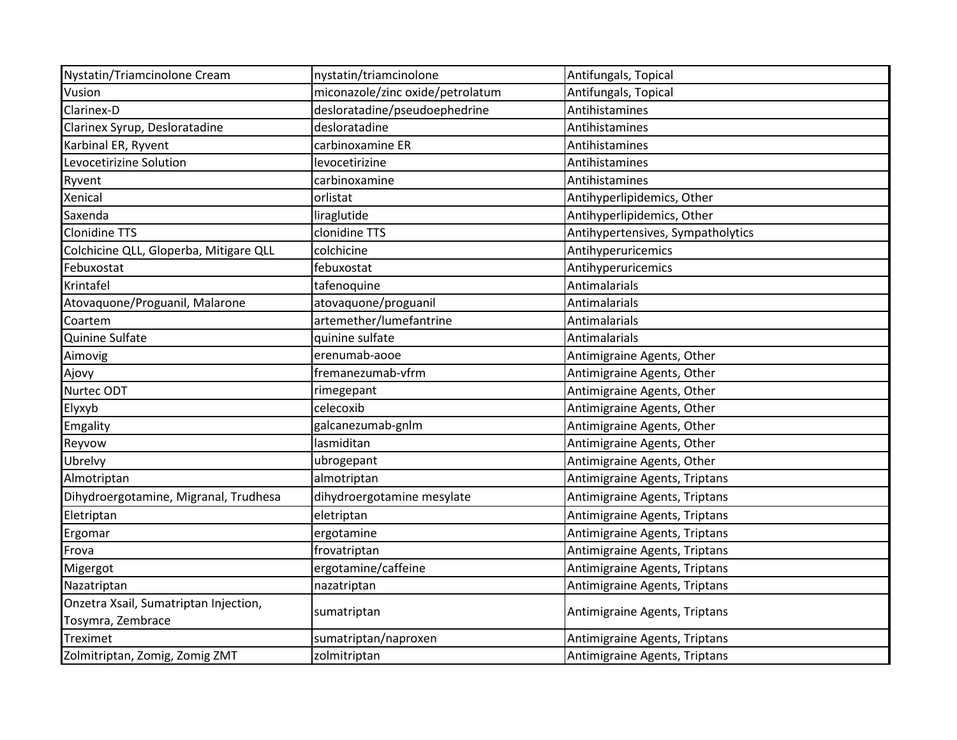| Nystatin/Triamcinolone Cream           | nystatin/triamcinolone           | Antifungals, Topical              |
|----------------------------------------|----------------------------------|-----------------------------------|
| Vusion                                 | miconazole/zinc oxide/petrolatum | Antifungals, Topical              |
| Clarinex-D                             | desloratadine/pseudoephedrine    | Antihistamines                    |
| Clarinex Syrup, Desloratadine          | desloratadine                    | Antihistamines                    |
| Karbinal ER, Ryvent                    | carbinoxamine ER                 | Antihistamines                    |
| Levocetirizine Solution                | levocetirizine                   | Antihistamines                    |
| Ryvent                                 | carbinoxamine                    | Antihistamines                    |
| Xenical                                | orlistat                         | Antihyperlipidemics, Other        |
| Saxenda                                | liraglutide                      | Antihyperlipidemics, Other        |
| <b>Clonidine TTS</b>                   | clonidine TTS                    | Antihypertensives, Sympatholytics |
| Colchicine QLL, Gloperba, Mitigare QLL | colchicine                       | Antihyperuricemics                |
| Febuxostat                             | febuxostat                       | Antihyperuricemics                |
| Krintafel                              | tafenoquine                      | Antimalarials                     |
| Atovaquone/Proguanil, Malarone         | atovaquone/proguanil             | Antimalarials                     |
| Coartem                                | artemether/lumefantrine          | Antimalarials                     |
| Quinine Sulfate                        | quinine sulfate                  | Antimalarials                     |
| Aimovig                                | erenumab-aooe                    | Antimigraine Agents, Other        |
| Ajovy                                  | fremanezumab-vfrm                | Antimigraine Agents, Other        |
| Nurtec ODT                             | rimegepant                       | Antimigraine Agents, Other        |
| Elyxyb                                 | celecoxib                        | Antimigraine Agents, Other        |
| Emgality                               | galcanezumab-gnlm                | Antimigraine Agents, Other        |
| Reyvow                                 | lasmiditan                       | Antimigraine Agents, Other        |
| Ubrelvy                                | ubrogepant                       | Antimigraine Agents, Other        |
| Almotriptan                            | almotriptan                      | Antimigraine Agents, Triptans     |
| Dihydroergotamine, Migranal, Trudhesa  | dihydroergotamine mesylate       | Antimigraine Agents, Triptans     |
| Eletriptan                             | eletriptan                       | Antimigraine Agents, Triptans     |
| Ergomar                                | ergotamine                       | Antimigraine Agents, Triptans     |
| Frova                                  | frovatriptan                     | Antimigraine Agents, Triptans     |
| Migergot                               | ergotamine/caffeine              | Antimigraine Agents, Triptans     |
| Nazatriptan                            | nazatriptan                      | Antimigraine Agents, Triptans     |
| Onzetra Xsail, Sumatriptan Injection,  |                                  |                                   |
| Tosymra, Zembrace                      | sumatriptan                      | Antimigraine Agents, Triptans     |
| Treximet                               | sumatriptan/naproxen             | Antimigraine Agents, Triptans     |
| Zolmitriptan, Zomig, Zomig ZMT         | zolmitriptan                     | Antimigraine Agents, Triptans     |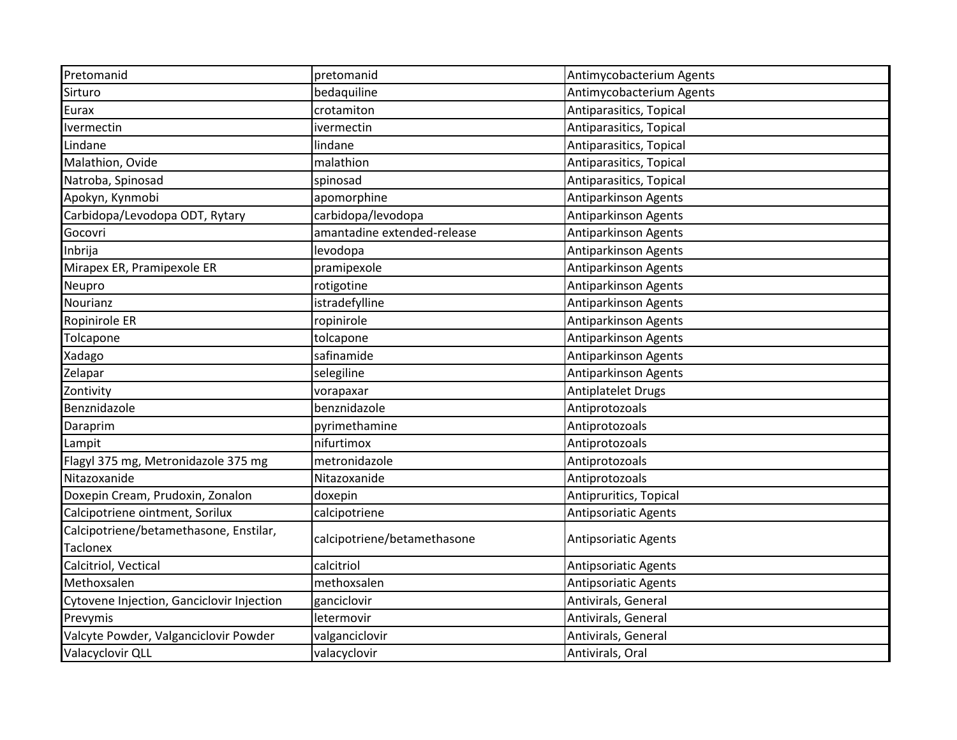| Pretomanid                                | pretomanid                  | Antimycobacterium Agents    |
|-------------------------------------------|-----------------------------|-----------------------------|
| Sirturo                                   | bedaquiline                 | Antimycobacterium Agents    |
| Eurax                                     | crotamiton                  | Antiparasitics, Topical     |
| Ivermectin                                | ivermectin                  | Antiparasitics, Topical     |
| Lindane                                   | lindane                     | Antiparasitics, Topical     |
| Malathion, Ovide                          | malathion                   | Antiparasitics, Topical     |
| Natroba, Spinosad                         | spinosad                    | Antiparasitics, Topical     |
| Apokyn, Kynmobi                           | apomorphine                 | <b>Antiparkinson Agents</b> |
| Carbidopa/Levodopa ODT, Rytary            | carbidopa/levodopa          | Antiparkinson Agents        |
| Gocovri                                   | amantadine extended-release | <b>Antiparkinson Agents</b> |
| Inbrija                                   | levodopa                    | Antiparkinson Agents        |
| Mirapex ER, Pramipexole ER                | pramipexole                 | <b>Antiparkinson Agents</b> |
| Neupro                                    | rotigotine                  | Antiparkinson Agents        |
| Nourianz                                  | istradefylline              | Antiparkinson Agents        |
| Ropinirole ER                             | ropinirole                  | Antiparkinson Agents        |
| Tolcapone                                 | tolcapone                   | Antiparkinson Agents        |
| Xadago                                    | safinamide                  | Antiparkinson Agents        |
| Zelapar                                   | selegiline                  | Antiparkinson Agents        |
| Zontivity                                 | vorapaxar                   | <b>Antiplatelet Drugs</b>   |
| Benznidazole                              | benznidazole                | Antiprotozoals              |
| Daraprim                                  | pyrimethamine               | Antiprotozoals              |
| Lampit                                    | nifurtimox                  | Antiprotozoals              |
| Flagyl 375 mg, Metronidazole 375 mg       | metronidazole               | Antiprotozoals              |
| Nitazoxanide                              | Nitazoxanide                | Antiprotozoals              |
| Doxepin Cream, Prudoxin, Zonalon          | doxepin                     | Antipruritics, Topical      |
| Calcipotriene ointment, Sorilux           | calcipotriene               | <b>Antipsoriatic Agents</b> |
| Calcipotriene/betamethasone, Enstilar,    | calcipotriene/betamethasone | Antipsoriatic Agents        |
| <b>Taclonex</b>                           |                             |                             |
| Calcitriol, Vectical                      | calcitriol                  | Antipsoriatic Agents        |
| Methoxsalen                               | methoxsalen                 | Antipsoriatic Agents        |
| Cytovene Injection, Ganciclovir Injection | ganciclovir                 | Antivirals, General         |
| Prevymis                                  | letermovir                  | Antivirals, General         |
| Valcyte Powder, Valganciclovir Powder     | valganciclovir              | Antivirals, General         |
| Valacyclovir QLL                          | valacyclovir                | Antivirals, Oral            |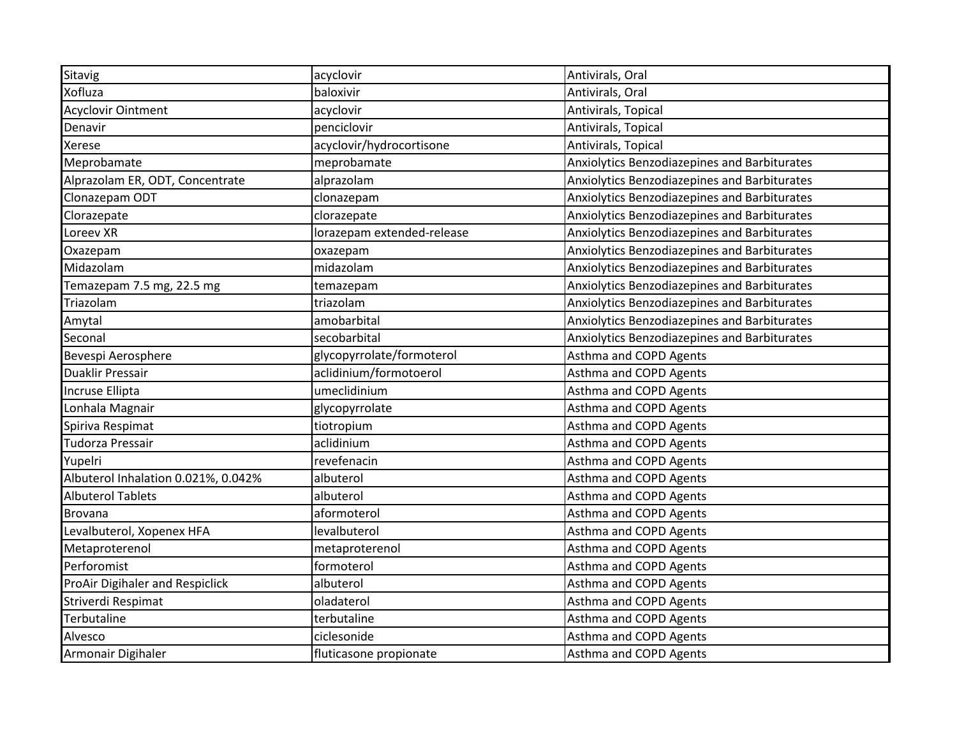| Sitavig                             | acyclovir                  | Antivirals, Oral                             |
|-------------------------------------|----------------------------|----------------------------------------------|
| Xofluza                             | baloxivir                  | Antivirals, Oral                             |
| <b>Acyclovir Ointment</b>           | acyclovir                  | Antivirals, Topical                          |
| Denavir                             | penciclovir                | Antivirals, Topical                          |
| Xerese                              | acyclovir/hydrocortisone   | Antivirals, Topical                          |
| Meprobamate                         | meprobamate                | Anxiolytics Benzodiazepines and Barbiturates |
| Alprazolam ER, ODT, Concentrate     | alprazolam                 | Anxiolytics Benzodiazepines and Barbiturates |
| Clonazepam ODT                      | clonazepam                 | Anxiolytics Benzodiazepines and Barbiturates |
| Clorazepate                         | clorazepate                | Anxiolytics Benzodiazepines and Barbiturates |
| Loreev XR                           | lorazepam extended-release | Anxiolytics Benzodiazepines and Barbiturates |
| Oxazepam                            | oxazepam                   | Anxiolytics Benzodiazepines and Barbiturates |
| Midazolam                           | midazolam                  | Anxiolytics Benzodiazepines and Barbiturates |
| Temazepam 7.5 mg, 22.5 mg           | temazepam                  | Anxiolytics Benzodiazepines and Barbiturates |
| Triazolam                           | triazolam                  | Anxiolytics Benzodiazepines and Barbiturates |
| Amytal                              | amobarbital                | Anxiolytics Benzodiazepines and Barbiturates |
| Seconal                             | secobarbital               | Anxiolytics Benzodiazepines and Barbiturates |
| Bevespi Aerosphere                  | glycopyrrolate/formoterol  | Asthma and COPD Agents                       |
| <b>Duaklir Pressair</b>             | aclidinium/formotoerol     | Asthma and COPD Agents                       |
| Incruse Ellipta                     | umeclidinium               | Asthma and COPD Agents                       |
| Lonhala Magnair                     | glycopyrrolate             | <b>Asthma and COPD Agents</b>                |
| Spiriva Respimat                    | tiotropium                 | Asthma and COPD Agents                       |
| Tudorza Pressair                    | aclidinium                 | Asthma and COPD Agents                       |
| Yupelri                             | revefenacin                | Asthma and COPD Agents                       |
| Albuterol Inhalation 0.021%, 0.042% | albuterol                  | Asthma and COPD Agents                       |
| <b>Albuterol Tablets</b>            | albuterol                  | Asthma and COPD Agents                       |
| <b>Brovana</b>                      | aformoterol                | Asthma and COPD Agents                       |
| Levalbuterol, Xopenex HFA           | levalbuterol               | Asthma and COPD Agents                       |
| Metaproterenol                      | metaproterenol             | Asthma and COPD Agents                       |
| Perforomist                         | formoterol                 | Asthma and COPD Agents                       |
| ProAir Digihaler and Respiclick     | albuterol                  | Asthma and COPD Agents                       |
| Striverdi Respimat                  | oladaterol                 | Asthma and COPD Agents                       |
| Terbutaline                         | terbutaline                | Asthma and COPD Agents                       |
| Alvesco                             | ciclesonide                | Asthma and COPD Agents                       |
| Armonair Digihaler                  | fluticasone propionate     | Asthma and COPD Agents                       |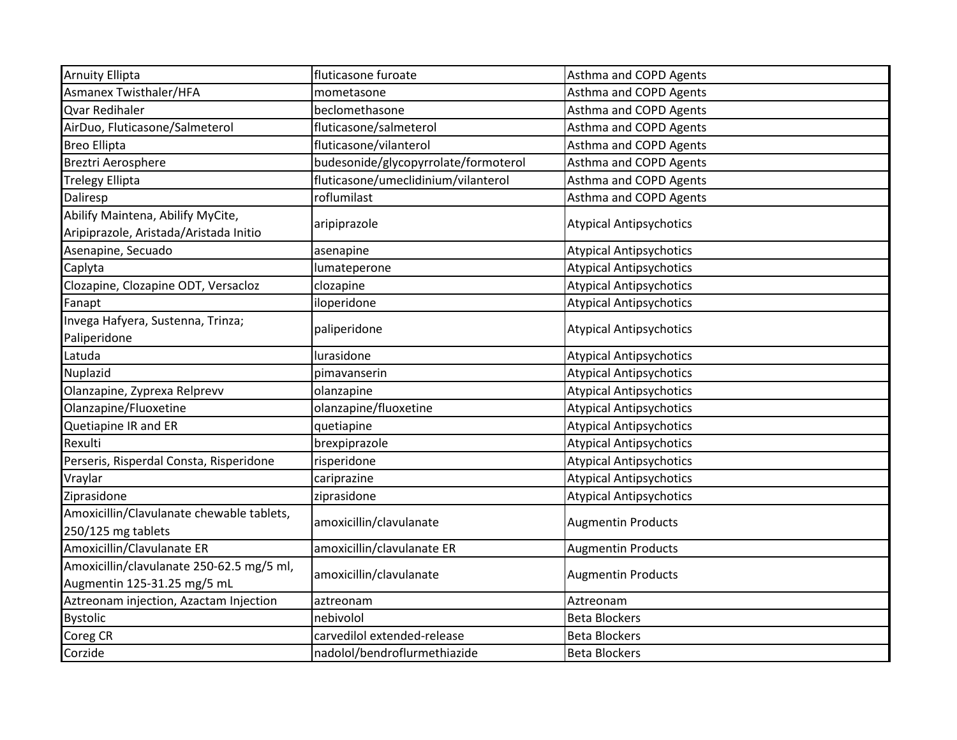| <b>Arnuity Ellipta</b>                                                      | fluticasone furoate                  | Asthma and COPD Agents         |
|-----------------------------------------------------------------------------|--------------------------------------|--------------------------------|
| Asmanex Twisthaler/HFA                                                      | mometasone                           | Asthma and COPD Agents         |
| Qvar Redihaler                                                              | beclomethasone                       | Asthma and COPD Agents         |
| AirDuo, Fluticasone/Salmeterol                                              | fluticasone/salmeterol               | Asthma and COPD Agents         |
| <b>Breo Ellipta</b>                                                         | fluticasone/vilanterol               | Asthma and COPD Agents         |
| Breztri Aerosphere                                                          | budesonide/glycopyrrolate/formoterol | Asthma and COPD Agents         |
| <b>Trelegy Ellipta</b>                                                      | fluticasone/umeclidinium/vilanterol  | Asthma and COPD Agents         |
| Daliresp                                                                    | roflumilast                          | Asthma and COPD Agents         |
| Abilify Maintena, Abilify MyCite,<br>Aripiprazole, Aristada/Aristada Initio | aripiprazole                         | <b>Atypical Antipsychotics</b> |
| Asenapine, Secuado                                                          | asenapine                            | <b>Atypical Antipsychotics</b> |
| Caplyta                                                                     | lumateperone                         | <b>Atypical Antipsychotics</b> |
| Clozapine, Clozapine ODT, Versacloz                                         | clozapine                            | <b>Atypical Antipsychotics</b> |
| Fanapt                                                                      | iloperidone                          | <b>Atypical Antipsychotics</b> |
| Invega Hafyera, Sustenna, Trinza;<br>Paliperidone                           | paliperidone                         | <b>Atypical Antipsychotics</b> |
| Latuda                                                                      | lurasidone                           | <b>Atypical Antipsychotics</b> |
| Nuplazid                                                                    | pimavanserin                         | <b>Atypical Antipsychotics</b> |
| Olanzapine, Zyprexa Relprevv                                                | olanzapine                           | <b>Atypical Antipsychotics</b> |
| Olanzapine/Fluoxetine                                                       | olanzapine/fluoxetine                | <b>Atypical Antipsychotics</b> |
| Quetiapine IR and ER                                                        | quetiapine                           | <b>Atypical Antipsychotics</b> |
| Rexulti                                                                     | brexpiprazole                        | <b>Atypical Antipsychotics</b> |
| Perseris, Risperdal Consta, Risperidone                                     | risperidone                          | <b>Atypical Antipsychotics</b> |
| Vraylar                                                                     | cariprazine                          | <b>Atypical Antipsychotics</b> |
| Ziprasidone                                                                 | ziprasidone                          | <b>Atypical Antipsychotics</b> |
| Amoxicillin/Clavulanate chewable tablets,<br>250/125 mg tablets             | amoxicillin/clavulanate              | <b>Augmentin Products</b>      |
| Amoxicillin/Clavulanate ER                                                  | amoxicillin/clavulanate ER           | <b>Augmentin Products</b>      |
| Amoxicillin/clavulanate 250-62.5 mg/5 ml,<br>Augmentin 125-31.25 mg/5 mL    | amoxicillin/clavulanate              | <b>Augmentin Products</b>      |
| Aztreonam injection, Azactam Injection                                      | aztreonam                            | Aztreonam                      |
| <b>Bystolic</b>                                                             | nebivolol                            | <b>Beta Blockers</b>           |
| Coreg CR                                                                    | carvedilol extended-release          | <b>Beta Blockers</b>           |
| Corzide                                                                     | nadolol/bendroflurmethiazide         | <b>Beta Blockers</b>           |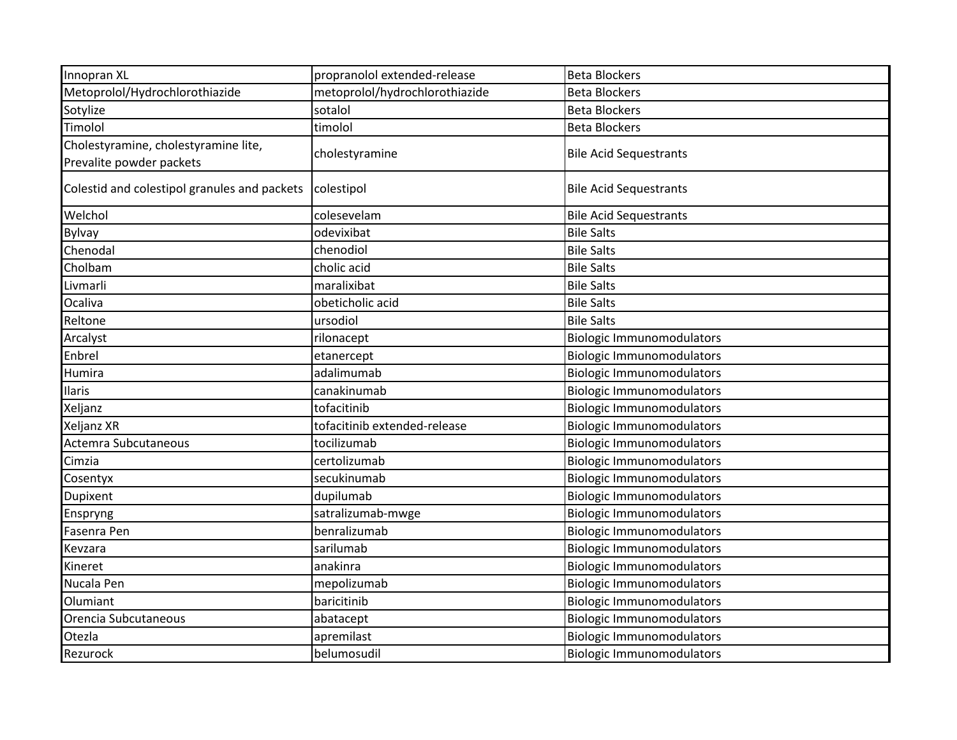| Innopran XL                                                      | propranolol extended-release   | <b>Beta Blockers</b>             |
|------------------------------------------------------------------|--------------------------------|----------------------------------|
| Metoprolol/Hydrochlorothiazide                                   | metoprolol/hydrochlorothiazide | <b>Beta Blockers</b>             |
| Sotylize                                                         | sotalol                        | <b>Beta Blockers</b>             |
| Timolol                                                          | timolol                        | <b>Beta Blockers</b>             |
| Cholestyramine, cholestyramine lite,<br>Prevalite powder packets | cholestyramine                 | <b>Bile Acid Sequestrants</b>    |
| Colestid and colestipol granules and packets                     | colestipol                     | <b>Bile Acid Sequestrants</b>    |
| Welchol                                                          | colesevelam                    | <b>Bile Acid Sequestrants</b>    |
| <b>Bylvay</b>                                                    | odevixibat                     | <b>Bile Salts</b>                |
| Chenodal                                                         | chenodiol                      | <b>Bile Salts</b>                |
| Cholbam                                                          | cholic acid                    | <b>Bile Salts</b>                |
| Livmarli                                                         | maralixibat                    | <b>Bile Salts</b>                |
| Ocaliva                                                          | obeticholic acid               | <b>Bile Salts</b>                |
| Reltone                                                          | ursodiol                       | <b>Bile Salts</b>                |
| Arcalyst                                                         | rilonacept                     | <b>Biologic Immunomodulators</b> |
| Enbrel                                                           | etanercept                     | <b>Biologic Immunomodulators</b> |
| Humira                                                           | adalimumab                     | <b>Biologic Immunomodulators</b> |
| Ilaris                                                           | canakinumab                    | <b>Biologic Immunomodulators</b> |
| Xeljanz                                                          | tofacitinib                    | <b>Biologic Immunomodulators</b> |
| Xeljanz XR                                                       | tofacitinib extended-release   | <b>Biologic Immunomodulators</b> |
| Actemra Subcutaneous                                             | tocilizumab                    | <b>Biologic Immunomodulators</b> |
| Cimzia                                                           | certolizumab                   | <b>Biologic Immunomodulators</b> |
| Cosentyx                                                         | secukinumab                    | <b>Biologic Immunomodulators</b> |
| Dupixent                                                         | dupilumab                      | <b>Biologic Immunomodulators</b> |
| Enspryng                                                         | satralizumab-mwge              | <b>Biologic Immunomodulators</b> |
| Fasenra Pen                                                      | benralizumab                   | <b>Biologic Immunomodulators</b> |
| Kevzara                                                          | sarilumab                      | <b>Biologic Immunomodulators</b> |
| Kineret                                                          | anakinra                       | <b>Biologic Immunomodulators</b> |
| Nucala Pen                                                       | mepolizumab                    | <b>Biologic Immunomodulators</b> |
| Olumiant                                                         | baricitinib                    | <b>Biologic Immunomodulators</b> |
| Orencia Subcutaneous                                             | abatacept                      | <b>Biologic Immunomodulators</b> |
| Otezla                                                           | apremilast                     | <b>Biologic Immunomodulators</b> |
| Rezurock                                                         | belumosudil                    | <b>Biologic Immunomodulators</b> |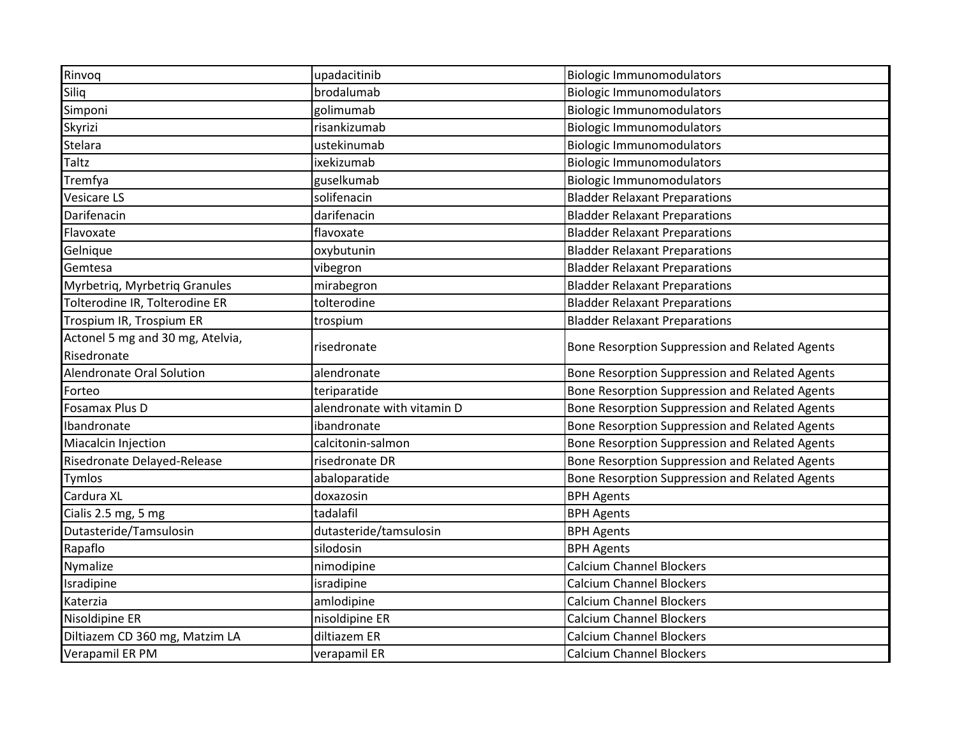| Rinvoq                           | upadacitinib               | <b>Biologic Immunomodulators</b>               |
|----------------------------------|----------------------------|------------------------------------------------|
| Siliq                            | brodalumab                 | <b>Biologic Immunomodulators</b>               |
| Simponi                          | golimumab                  | <b>Biologic Immunomodulators</b>               |
| Skyrizi                          | risankizumab               | <b>Biologic Immunomodulators</b>               |
| Stelara                          | ustekinumab                | <b>Biologic Immunomodulators</b>               |
| Taltz                            | ixekizumab                 | <b>Biologic Immunomodulators</b>               |
| Tremfya                          | guselkumab                 | <b>Biologic Immunomodulators</b>               |
| Vesicare LS                      | solifenacin                | <b>Bladder Relaxant Preparations</b>           |
| Darifenacin                      | darifenacin                | <b>Bladder Relaxant Preparations</b>           |
| Flavoxate                        | flavoxate                  | <b>Bladder Relaxant Preparations</b>           |
| Gelnique                         | oxybutunin                 | <b>Bladder Relaxant Preparations</b>           |
| Gemtesa                          | vibegron                   | <b>Bladder Relaxant Preparations</b>           |
| Myrbetriq, Myrbetriq Granules    | mirabegron                 | <b>Bladder Relaxant Preparations</b>           |
| Tolterodine IR, Tolterodine ER   | tolterodine                | <b>Bladder Relaxant Preparations</b>           |
| Trospium IR, Trospium ER         | trospium                   | <b>Bladder Relaxant Preparations</b>           |
| Actonel 5 mg and 30 mg, Atelvia, | risedronate                | Bone Resorption Suppression and Related Agents |
| Risedronate                      |                            |                                                |
| Alendronate Oral Solution        | alendronate                | Bone Resorption Suppression and Related Agents |
| Forteo                           | teriparatide               | Bone Resorption Suppression and Related Agents |
| Fosamax Plus D                   | alendronate with vitamin D | Bone Resorption Suppression and Related Agents |
| Ibandronate                      | ibandronate                | Bone Resorption Suppression and Related Agents |
| Miacalcin Injection              | calcitonin-salmon          | Bone Resorption Suppression and Related Agents |
| Risedronate Delayed-Release      | risedronate DR             | Bone Resorption Suppression and Related Agents |
| Tymlos                           | abaloparatide              | Bone Resorption Suppression and Related Agents |
| Cardura XL                       | doxazosin                  | <b>BPH Agents</b>                              |
| Cialis 2.5 mg, 5 mg              | tadalafil                  | <b>BPH Agents</b>                              |
| Dutasteride/Tamsulosin           | dutasteride/tamsulosin     | <b>BPH Agents</b>                              |
| Rapaflo                          | silodosin                  | <b>BPH Agents</b>                              |
| Nymalize                         | nimodipine                 | <b>Calcium Channel Blockers</b>                |
| Isradipine                       | isradipine                 | <b>Calcium Channel Blockers</b>                |
| Katerzia                         | amlodipine                 | <b>Calcium Channel Blockers</b>                |
| Nisoldipine ER                   | nisoldipine ER             | <b>Calcium Channel Blockers</b>                |
| Diltiazem CD 360 mg, Matzim LA   | diltiazem ER               | <b>Calcium Channel Blockers</b>                |
| Verapamil ER PM                  | verapamil ER               | <b>Calcium Channel Blockers</b>                |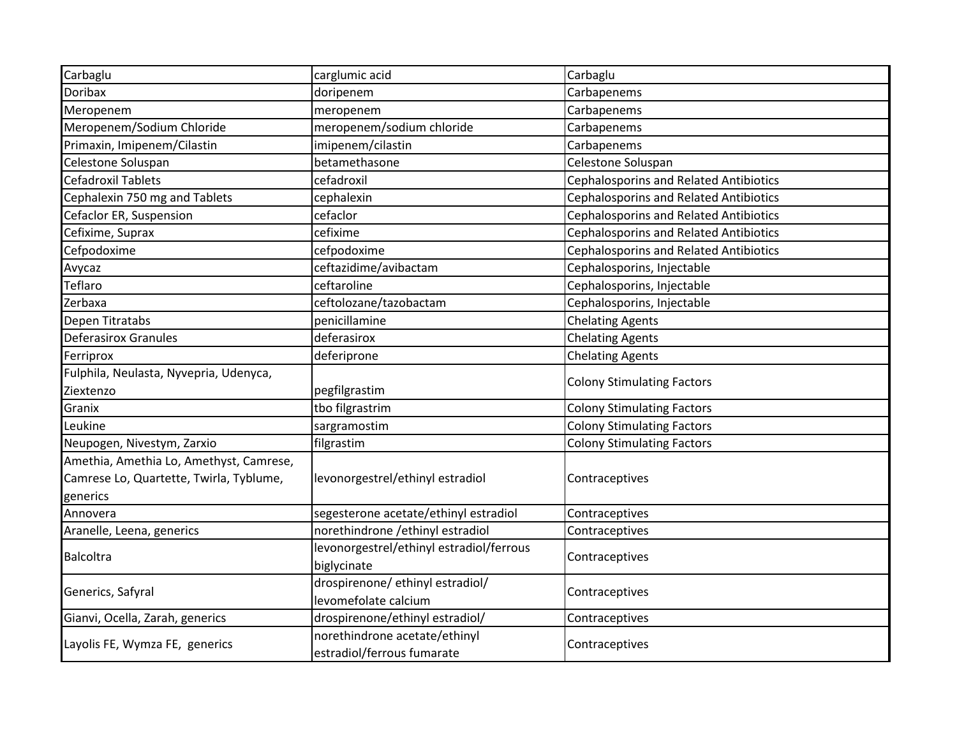| Carbaglu                                            | carglumic acid                           | Carbaglu                                      |
|-----------------------------------------------------|------------------------------------------|-----------------------------------------------|
| <b>Doribax</b>                                      | doripenem                                | Carbapenems                                   |
| Meropenem                                           | meropenem                                | Carbapenems                                   |
| Meropenem/Sodium Chloride                           | meropenem/sodium chloride                | Carbapenems                                   |
| Primaxin, Imipenem/Cilastin                         | imipenem/cilastin                        | Carbapenems                                   |
| Celestone Soluspan                                  | betamethasone                            | Celestone Soluspan                            |
| <b>Cefadroxil Tablets</b>                           | cefadroxil                               | <b>Cephalosporins and Related Antibiotics</b> |
| Cephalexin 750 mg and Tablets                       | cephalexin                               | <b>Cephalosporins and Related Antibiotics</b> |
| Cefaclor ER, Suspension                             | cefaclor                                 | <b>Cephalosporins and Related Antibiotics</b> |
| Cefixime, Suprax                                    | cefixime                                 | <b>Cephalosporins and Related Antibiotics</b> |
| Cefpodoxime                                         | cefpodoxime                              | <b>Cephalosporins and Related Antibiotics</b> |
| Avycaz                                              | ceftazidime/avibactam                    | Cephalosporins, Injectable                    |
| Teflaro                                             | ceftaroline                              | Cephalosporins, Injectable                    |
| Zerbaxa                                             | ceftolozane/tazobactam                   | Cephalosporins, Injectable                    |
| Depen Titratabs                                     | penicillamine                            | <b>Chelating Agents</b>                       |
| <b>Deferasirox Granules</b>                         | deferasirox                              | <b>Chelating Agents</b>                       |
| Ferriprox                                           | deferiprone                              | <b>Chelating Agents</b>                       |
| Fulphila, Neulasta, Nyvepria, Udenyca,              |                                          |                                               |
| Ziextenzo                                           | pegfilgrastim                            | <b>Colony Stimulating Factors</b>             |
| Granix                                              | tbo filgrastrim                          | <b>Colony Stimulating Factors</b>             |
| Leukine                                             | sargramostim                             | <b>Colony Stimulating Factors</b>             |
| Neupogen, Nivestym, Zarxio                          | filgrastim                               | <b>Colony Stimulating Factors</b>             |
| Amethia, Amethia Lo, Amethyst, Camrese,             |                                          |                                               |
| Camrese Lo, Quartette, Twirla, Tyblume,<br>generics | levonorgestrel/ethinyl estradiol         | Contraceptives                                |
| Annovera                                            | segesterone acetate/ethinyl estradiol    | Contraceptives                                |
| Aranelle, Leena, generics                           | norethindrone / ethinyl estradiol        | Contraceptives                                |
|                                                     | levonorgestrel/ethinyl estradiol/ferrous |                                               |
| <b>Balcoltra</b>                                    | biglycinate                              | Contraceptives                                |
|                                                     | drospirenone/ ethinyl estradiol/         |                                               |
| Generics, Safyral                                   | levomefolate calcium                     | Contraceptives                                |
| Gianvi, Ocella, Zarah, generics                     | drospirenone/ethinyl estradiol/          | Contraceptives                                |
|                                                     | norethindrone acetate/ethinyl            |                                               |
| Layolis FE, Wymza FE, generics                      | estradiol/ferrous fumarate               | Contraceptives                                |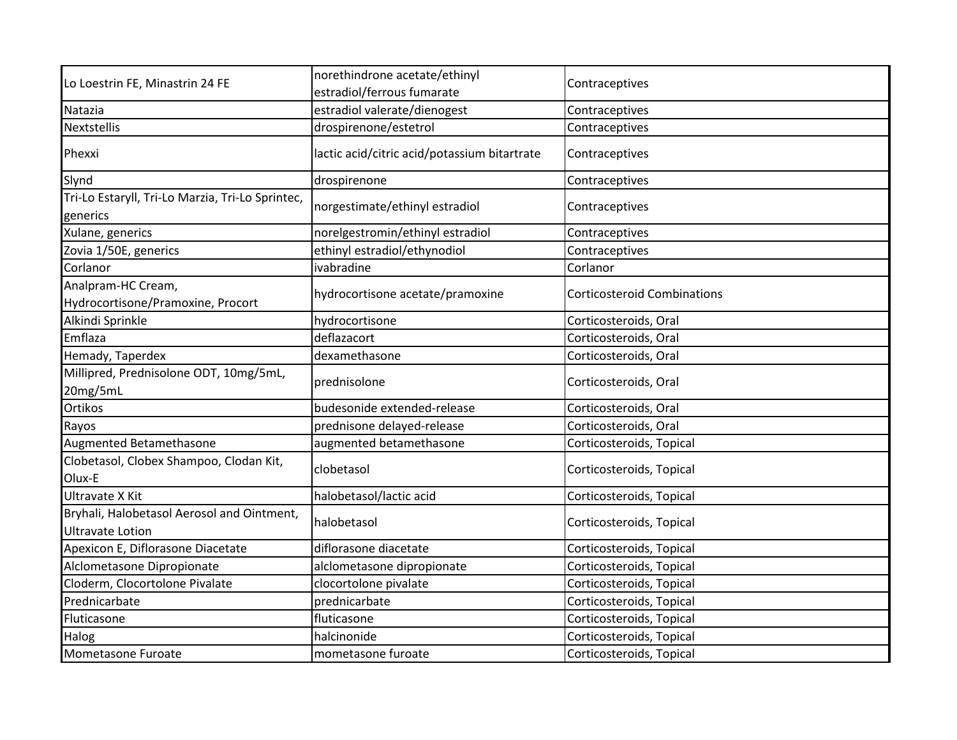|                                                                       | norethindrone acetate/ethinyl                |                                    |
|-----------------------------------------------------------------------|----------------------------------------------|------------------------------------|
| Lo Loestrin FE, Minastrin 24 FE                                       | estradiol/ferrous fumarate                   | Contraceptives                     |
| Natazia                                                               | estradiol valerate/dienogest                 | Contraceptives                     |
| <b>Nextstellis</b>                                                    | drospirenone/estetrol                        | Contraceptives                     |
| Phexxi                                                                | lactic acid/citric acid/potassium bitartrate | Contraceptives                     |
| Slynd                                                                 | drospirenone                                 | Contraceptives                     |
| Tri-Lo Estaryll, Tri-Lo Marzia, Tri-Lo Sprintec,<br>generics          | norgestimate/ethinyl estradiol               | Contraceptives                     |
| Xulane, generics                                                      | norelgestromin/ethinyl estradiol             | Contraceptives                     |
| Zovia 1/50E, generics                                                 | ethinyl estradiol/ethynodiol                 | Contraceptives                     |
| Corlanor                                                              | ivabradine                                   | Corlanor                           |
| Analpram-HC Cream,<br>Hydrocortisone/Pramoxine, Procort               | hydrocortisone acetate/pramoxine             | <b>Corticosteroid Combinations</b> |
| Alkindi Sprinkle                                                      | hydrocortisone                               | Corticosteroids, Oral              |
| Emflaza                                                               | deflazacort                                  | Corticosteroids, Oral              |
| Hemady, Taperdex                                                      | dexamethasone                                | Corticosteroids, Oral              |
| Millipred, Prednisolone ODT, 10mg/5mL,<br>20mg/5mL                    | prednisolone                                 | Corticosteroids, Oral              |
| Ortikos                                                               | budesonide extended-release                  | Corticosteroids, Oral              |
| Rayos                                                                 | prednisone delayed-release                   | Corticosteroids, Oral              |
| Augmented Betamethasone                                               | augmented betamethasone                      | Corticosteroids, Topical           |
| Clobetasol, Clobex Shampoo, Clodan Kit,<br>Olux-E                     | clobetasol                                   | Corticosteroids, Topical           |
| <b>Ultravate X Kit</b>                                                | halobetasol/lactic acid                      | Corticosteroids, Topical           |
| Bryhali, Halobetasol Aerosol and Ointment,<br><b>Ultravate Lotion</b> | halobetasol                                  | Corticosteroids, Topical           |
| Apexicon E, Diflorasone Diacetate                                     | diflorasone diacetate                        | Corticosteroids, Topical           |
| Alclometasone Dipropionate                                            | alclometasone dipropionate                   | Corticosteroids, Topical           |
| Cloderm, Clocortolone Pivalate                                        | clocortolone pivalate                        | Corticosteroids, Topical           |
| Prednicarbate                                                         | prednicarbate                                | Corticosteroids, Topical           |
| Fluticasone                                                           | fluticasone                                  | Corticosteroids, Topical           |
| Halog                                                                 | halcinonide                                  | Corticosteroids, Topical           |
| Mometasone Furoate                                                    | mometasone furoate                           | Corticosteroids, Topical           |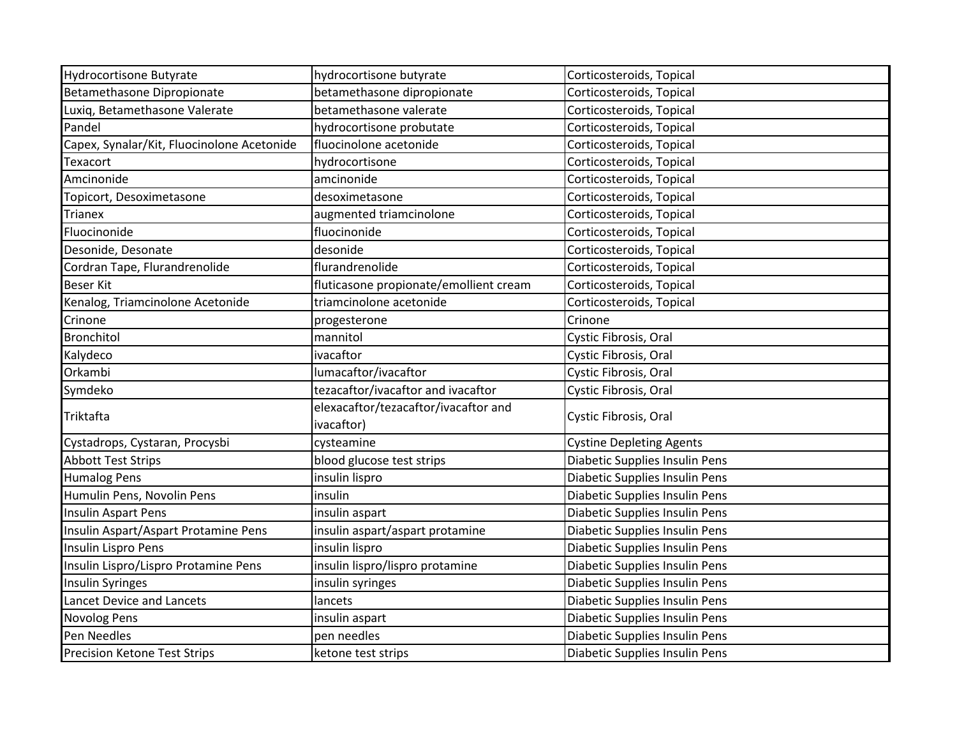| <b>Hydrocortisone Butyrate</b>             | hydrocortisone butyrate                | Corticosteroids, Topical        |
|--------------------------------------------|----------------------------------------|---------------------------------|
| Betamethasone Dipropionate                 | betamethasone dipropionate             | Corticosteroids, Topical        |
| Luxiq, Betamethasone Valerate              | betamethasone valerate                 | Corticosteroids, Topical        |
| Pandel                                     | hydrocortisone probutate               | Corticosteroids, Topical        |
| Capex, Synalar/Kit, Fluocinolone Acetonide | fluocinolone acetonide                 | Corticosteroids, Topical        |
| Texacort                                   | hydrocortisone                         | Corticosteroids, Topical        |
| Amcinonide                                 | amcinonide                             | Corticosteroids, Topical        |
| Topicort, Desoximetasone                   | desoximetasone                         | Corticosteroids, Topical        |
| <b>Trianex</b>                             | augmented triamcinolone                | Corticosteroids, Topical        |
| Fluocinonide                               | fluocinonide                           | Corticosteroids, Topical        |
| Desonide, Desonate                         | desonide                               | Corticosteroids, Topical        |
| Cordran Tape, Flurandrenolide              | flurandrenolide                        | Corticosteroids, Topical        |
| <b>Beser Kit</b>                           | fluticasone propionate/emollient cream | Corticosteroids, Topical        |
| Kenalog, Triamcinolone Acetonide           | triamcinolone acetonide                | Corticosteroids, Topical        |
| Crinone                                    | progesterone                           | Crinone                         |
| <b>Bronchitol</b>                          | mannitol                               | Cystic Fibrosis, Oral           |
| Kalydeco                                   | ivacaftor                              | Cystic Fibrosis, Oral           |
| Orkambi                                    | lumacaftor/ivacaftor                   | Cystic Fibrosis, Oral           |
| Symdeko                                    | tezacaftor/ivacaftor and ivacaftor     | Cystic Fibrosis, Oral           |
| Triktafta                                  | elexacaftor/tezacaftor/ivacaftor and   | Cystic Fibrosis, Oral           |
|                                            | ivacaftor)                             |                                 |
| Cystadrops, Cystaran, Procysbi             | cysteamine                             | <b>Cystine Depleting Agents</b> |
| <b>Abbott Test Strips</b>                  | blood glucose test strips              | Diabetic Supplies Insulin Pens  |
| <b>Humalog Pens</b>                        | insulin lispro                         | Diabetic Supplies Insulin Pens  |
| Humulin Pens, Novolin Pens                 | insulin                                | Diabetic Supplies Insulin Pens  |
| Insulin Aspart Pens                        | insulin aspart                         | Diabetic Supplies Insulin Pens  |
| Insulin Aspart/Aspart Protamine Pens       | insulin aspart/aspart protamine        | Diabetic Supplies Insulin Pens  |
| Insulin Lispro Pens                        | insulin lispro                         | Diabetic Supplies Insulin Pens  |
| Insulin Lispro/Lispro Protamine Pens       | insulin lispro/lispro protamine        | Diabetic Supplies Insulin Pens  |
| <b>Insulin Syringes</b>                    | insulin syringes                       | Diabetic Supplies Insulin Pens  |
| Lancet Device and Lancets                  | lancets                                | Diabetic Supplies Insulin Pens  |
| <b>Novolog Pens</b>                        | insulin aspart                         | Diabetic Supplies Insulin Pens  |
| Pen Needles                                | pen needles                            | Diabetic Supplies Insulin Pens  |
| <b>Precision Ketone Test Strips</b>        | ketone test strips                     | Diabetic Supplies Insulin Pens  |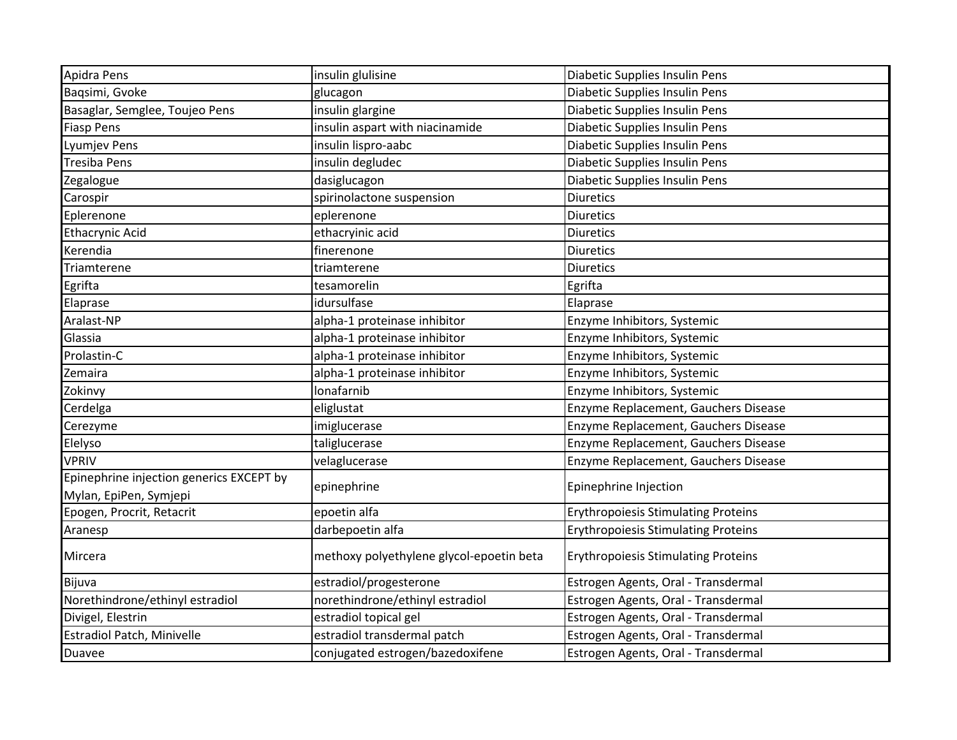| Apidra Pens                                                        | insulin glulisine                        | Diabetic Supplies Insulin Pens             |
|--------------------------------------------------------------------|------------------------------------------|--------------------------------------------|
| Bagsimi, Gvoke                                                     | glucagon                                 | Diabetic Supplies Insulin Pens             |
| Basaglar, Semglee, Toujeo Pens                                     | insulin glargine                         | Diabetic Supplies Insulin Pens             |
| <b>Fiasp Pens</b>                                                  | insulin aspart with niacinamide          | Diabetic Supplies Insulin Pens             |
| Lyumjev Pens                                                       | insulin lispro-aabc                      | Diabetic Supplies Insulin Pens             |
| Tresiba Pens                                                       | insulin degludec                         | Diabetic Supplies Insulin Pens             |
| Zegalogue                                                          | dasiglucagon                             | Diabetic Supplies Insulin Pens             |
| Carospir                                                           | spirinolactone suspension                | <b>Diuretics</b>                           |
| Eplerenone                                                         | eplerenone                               | <b>Diuretics</b>                           |
| <b>Ethacrynic Acid</b>                                             | ethacryinic acid                         | <b>Diuretics</b>                           |
| Kerendia                                                           | finerenone                               | <b>Diuretics</b>                           |
| Triamterene                                                        | triamterene                              | <b>Diuretics</b>                           |
| Egrifta                                                            | tesamorelin                              | Egrifta                                    |
| Elaprase                                                           | idursulfase                              | Elaprase                                   |
| Aralast-NP                                                         | alpha-1 proteinase inhibitor             | Enzyme Inhibitors, Systemic                |
| Glassia                                                            | alpha-1 proteinase inhibitor             | Enzyme Inhibitors, Systemic                |
| Prolastin-C                                                        | alpha-1 proteinase inhibitor             | Enzyme Inhibitors, Systemic                |
| Zemaira                                                            | alpha-1 proteinase inhibitor             | Enzyme Inhibitors, Systemic                |
| Zokinvy                                                            | lonafarnib                               | Enzyme Inhibitors, Systemic                |
| Cerdelga                                                           | eliglustat                               | Enzyme Replacement, Gauchers Disease       |
| Cerezyme                                                           | imiglucerase                             | Enzyme Replacement, Gauchers Disease       |
| Elelyso                                                            | taliglucerase                            | Enzyme Replacement, Gauchers Disease       |
| <b>VPRIV</b>                                                       | velaglucerase                            | Enzyme Replacement, Gauchers Disease       |
| Epinephrine injection generics EXCEPT by<br>Mylan, EpiPen, Symjepi | epinephrine                              | Epinephrine Injection                      |
| Epogen, Procrit, Retacrit                                          | epoetin alfa                             | <b>Erythropoiesis Stimulating Proteins</b> |
| Aranesp                                                            | darbepoetin alfa                         | <b>Erythropoiesis Stimulating Proteins</b> |
| Mircera                                                            | methoxy polyethylene glycol-epoetin beta | <b>Erythropoiesis Stimulating Proteins</b> |
| Bijuva                                                             | estradiol/progesterone                   | Estrogen Agents, Oral - Transdermal        |
| Norethindrone/ethinyl estradiol                                    | norethindrone/ethinyl estradiol          | Estrogen Agents, Oral - Transdermal        |
| Divigel, Elestrin                                                  | estradiol topical gel                    | Estrogen Agents, Oral - Transdermal        |
| Estradiol Patch, Minivelle                                         | estradiol transdermal patch              | Estrogen Agents, Oral - Transdermal        |
| <b>Duavee</b>                                                      | conjugated estrogen/bazedoxifene         | Estrogen Agents, Oral - Transdermal        |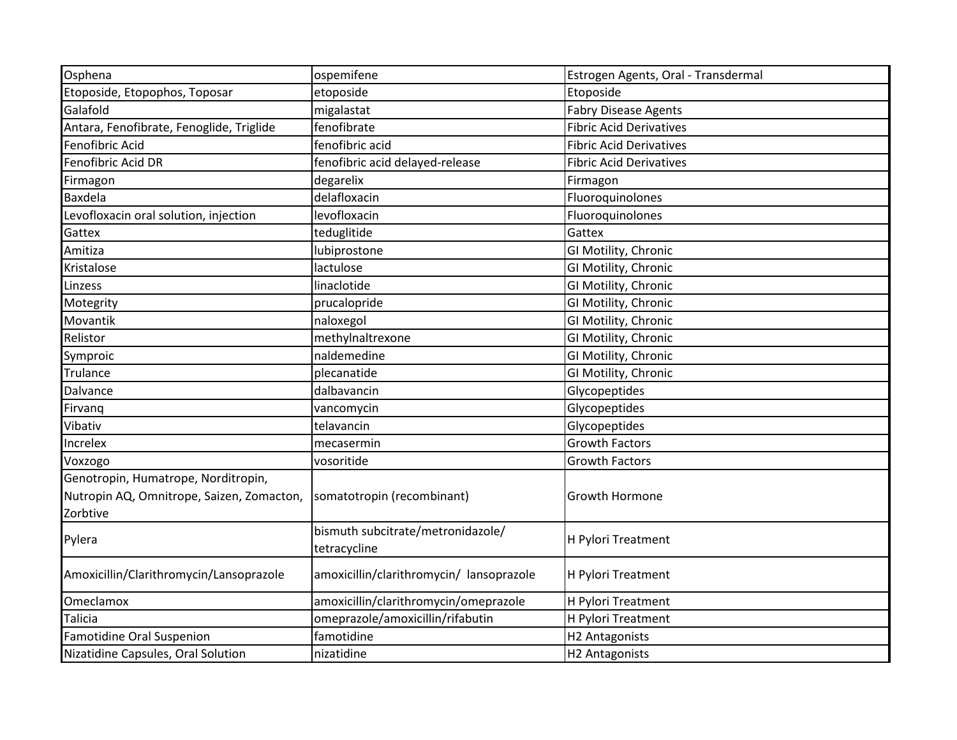| Osphena                                                                                      | ospemifene                                        | Estrogen Agents, Oral - Transdermal |
|----------------------------------------------------------------------------------------------|---------------------------------------------------|-------------------------------------|
| Etoposide, Etopophos, Toposar                                                                | etoposide                                         | Etoposide                           |
| Galafold                                                                                     | migalastat                                        | <b>Fabry Disease Agents</b>         |
| Antara, Fenofibrate, Fenoglide, Triglide                                                     | fenofibrate                                       | <b>Fibric Acid Derivatives</b>      |
| Fenofibric Acid                                                                              | fenofibric acid                                   | <b>Fibric Acid Derivatives</b>      |
| Fenofibric Acid DR                                                                           | fenofibric acid delayed-release                   | <b>Fibric Acid Derivatives</b>      |
| Firmagon                                                                                     | degarelix                                         | Firmagon                            |
| <b>Baxdela</b>                                                                               | delafloxacin                                      | Fluoroquinolones                    |
| Levofloxacin oral solution, injection                                                        | levofloxacin                                      | Fluoroquinolones                    |
| Gattex                                                                                       | teduglitide                                       | Gattex                              |
| Amitiza                                                                                      | lubiprostone                                      | GI Motility, Chronic                |
| Kristalose                                                                                   | lactulose                                         | GI Motility, Chronic                |
| Linzess                                                                                      | linaclotide                                       | GI Motility, Chronic                |
| Motegrity                                                                                    | prucalopride                                      | GI Motility, Chronic                |
| Movantik                                                                                     | naloxegol                                         | GI Motility, Chronic                |
| Relistor                                                                                     | methylnaltrexone                                  | GI Motility, Chronic                |
| Symproic                                                                                     | naldemedine                                       | GI Motility, Chronic                |
| Trulance                                                                                     | plecanatide                                       | GI Motility, Chronic                |
| Dalvance                                                                                     | dalbavancin                                       | Glycopeptides                       |
| Firvanq                                                                                      | vancomycin                                        | Glycopeptides                       |
| Vibativ                                                                                      | telavancin                                        | Glycopeptides                       |
| Increlex                                                                                     | mecasermin                                        | <b>Growth Factors</b>               |
| Voxzogo                                                                                      | vosoritide                                        | <b>Growth Factors</b>               |
| Genotropin, Humatrope, Norditropin,<br>Nutropin AQ, Omnitrope, Saizen, Zomacton,<br>Zorbtive | somatotropin (recombinant)                        | Growth Hormone                      |
| Pylera                                                                                       | bismuth subcitrate/metronidazole/<br>tetracycline | H Pylori Treatment                  |
| Amoxicillin/Clarithromycin/Lansoprazole                                                      | amoxicillin/clarithromycin/ lansoprazole          | H Pylori Treatment                  |
| Omeclamox                                                                                    | amoxicillin/clarithromycin/omeprazole             | H Pylori Treatment                  |
| <b>Talicia</b>                                                                               | omeprazole/amoxicillin/rifabutin                  | H Pylori Treatment                  |
| <b>Famotidine Oral Suspenion</b>                                                             | famotidine                                        | H2 Antagonists                      |
| Nizatidine Capsules, Oral Solution                                                           | nizatidine                                        | H2 Antagonists                      |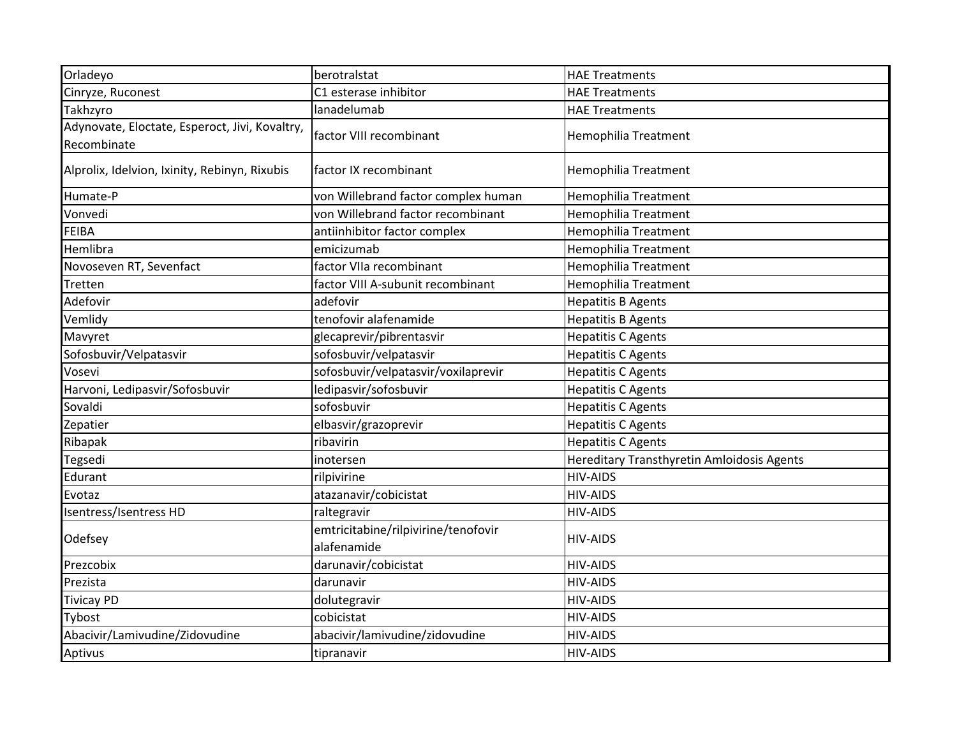| Orladeyo                                                      | berotralstat                                       | <b>HAE Treatments</b>                      |
|---------------------------------------------------------------|----------------------------------------------------|--------------------------------------------|
| Cinryze, Ruconest                                             | C1 esterase inhibitor                              | <b>HAE Treatments</b>                      |
| Takhzyro                                                      | lanadelumab                                        | <b>HAE Treatments</b>                      |
| Adynovate, Eloctate, Esperoct, Jivi, Kovaltry,<br>Recombinate | factor VIII recombinant                            | Hemophilia Treatment                       |
| Alprolix, Idelvion, Ixinity, Rebinyn, Rixubis                 | factor IX recombinant                              | Hemophilia Treatment                       |
| Humate-P                                                      | von Willebrand factor complex human                | <b>Hemophilia Treatment</b>                |
| Vonvedi                                                       | von Willebrand factor recombinant                  | Hemophilia Treatment                       |
| FEIBA                                                         | antiinhibitor factor complex                       | <b>Hemophilia Treatment</b>                |
| Hemlibra                                                      | emicizumab                                         | <b>Hemophilia Treatment</b>                |
| Novoseven RT, Sevenfact                                       | factor VIIa recombinant                            | Hemophilia Treatment                       |
| Tretten                                                       | factor VIII A-subunit recombinant                  | <b>Hemophilia Treatment</b>                |
| Adefovir                                                      | adefovir                                           | <b>Hepatitis B Agents</b>                  |
| Vemlidy                                                       | tenofovir alafenamide                              | <b>Hepatitis B Agents</b>                  |
| Mavyret                                                       | glecaprevir/pibrentasvir                           | <b>Hepatitis C Agents</b>                  |
| Sofosbuvir/Velpatasvir                                        | sofosbuvir/velpatasvir                             | <b>Hepatitis C Agents</b>                  |
| Vosevi                                                        | sofosbuvir/velpatasvir/voxilaprevir                | <b>Hepatitis C Agents</b>                  |
| Harvoni, Ledipasvir/Sofosbuvir                                | ledipasvir/sofosbuvir                              | <b>Hepatitis C Agents</b>                  |
| Sovaldi                                                       | sofosbuvir                                         | <b>Hepatitis C Agents</b>                  |
| Zepatier                                                      | elbasvir/grazoprevir                               | <b>Hepatitis C Agents</b>                  |
| Ribapak                                                       | ribavirin                                          | <b>Hepatitis C Agents</b>                  |
| Tegsedi                                                       | inotersen                                          | Hereditary Transthyretin Amloidosis Agents |
| Edurant                                                       | rilpivirine                                        | <b>HIV-AIDS</b>                            |
| Evotaz                                                        | atazanavir/cobicistat                              | <b>HIV-AIDS</b>                            |
| Isentress/Isentress HD                                        | raltegravir                                        | <b>HIV-AIDS</b>                            |
| Odefsey                                                       | emtricitabine/rilpivirine/tenofovir<br>alafenamide | <b>HIV-AIDS</b>                            |
| Prezcobix                                                     | darunavir/cobicistat                               | <b>HIV-AIDS</b>                            |
| Prezista                                                      | darunavir                                          | <b>HIV-AIDS</b>                            |
| <b>Tivicay PD</b>                                             | dolutegravir                                       | <b>HIV-AIDS</b>                            |
| Tybost                                                        | cobicistat                                         | <b>HIV-AIDS</b>                            |
| Abacivir/Lamivudine/Zidovudine                                | abacivir/lamivudine/zidovudine                     | <b>HIV-AIDS</b>                            |
| Aptivus                                                       | tipranavir                                         | <b>HIV-AIDS</b>                            |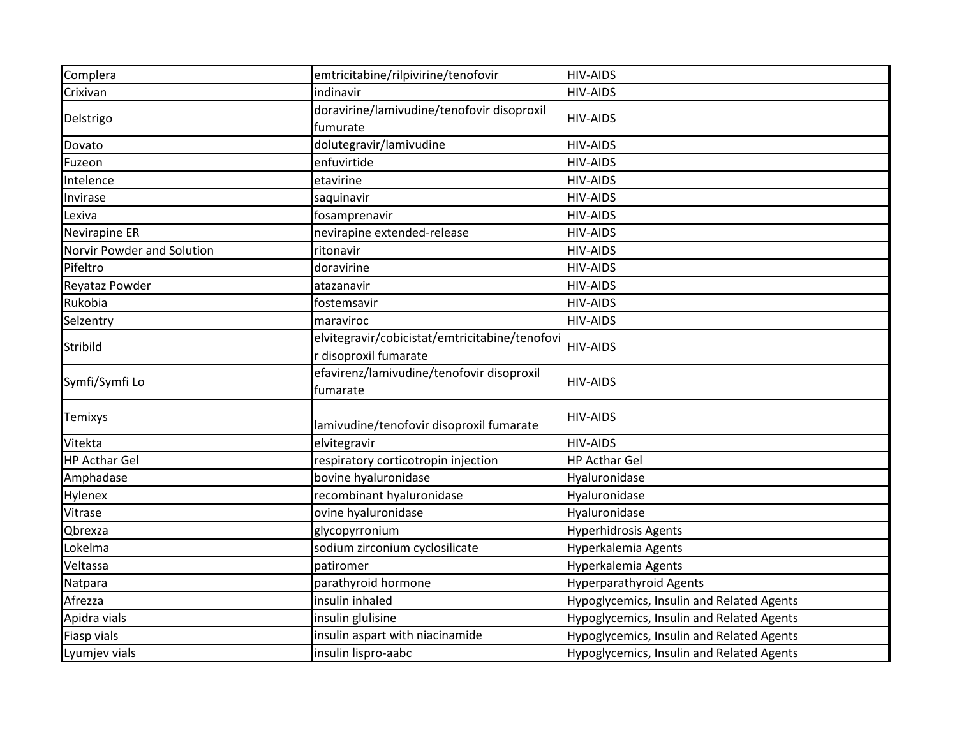| Complera                   | emtricitabine/rilpivirine/tenofovir                                     | <b>HIV-AIDS</b>                           |
|----------------------------|-------------------------------------------------------------------------|-------------------------------------------|
| Crixivan                   | indinavir                                                               | <b>HIV-AIDS</b>                           |
| Delstrigo                  | doravirine/lamivudine/tenofovir disoproxil                              | <b>HIV-AIDS</b>                           |
|                            | fumurate                                                                |                                           |
| Dovato                     | dolutegravir/lamivudine                                                 | <b>HIV-AIDS</b>                           |
| Fuzeon                     | enfuvirtide                                                             | <b>HIV-AIDS</b>                           |
| Intelence                  | etavirine                                                               | <b>HIV-AIDS</b>                           |
| Invirase                   | saquinavir                                                              | <b>HIV-AIDS</b>                           |
| Lexiva                     | fosamprenavir                                                           | <b>HIV-AIDS</b>                           |
| Nevirapine ER              | nevirapine extended-release                                             | <b>HIV-AIDS</b>                           |
| Norvir Powder and Solution | ritonavir                                                               | <b>HIV-AIDS</b>                           |
| Pifeltro                   | doravirine                                                              | <b>HIV-AIDS</b>                           |
| Reyataz Powder             | atazanavir                                                              | <b>HIV-AIDS</b>                           |
| Rukobia                    | fostemsavir                                                             | <b>HIV-AIDS</b>                           |
| Selzentry                  | maraviroc                                                               | <b>HIV-AIDS</b>                           |
| Stribild                   | elvitegravir/cobicistat/emtricitabine/tenofovi<br>r disoproxil fumarate | <b>HIV-AIDS</b>                           |
| Symfi/Symfi Lo             | efavirenz/lamivudine/tenofovir disoproxil<br>fumarate                   | <b>HIV-AIDS</b>                           |
| Temixys                    | lamivudine/tenofovir disoproxil fumarate                                | <b>HIV-AIDS</b>                           |
| Vitekta                    | elvitegravir                                                            | <b>HIV-AIDS</b>                           |
| <b>HP Acthar Gel</b>       | respiratory corticotropin injection                                     | <b>HP Acthar Gel</b>                      |
| Amphadase                  | bovine hyaluronidase                                                    | Hyaluronidase                             |
| Hylenex                    | recombinant hyaluronidase                                               | Hyaluronidase                             |
| Vitrase                    | ovine hyaluronidase                                                     | Hyaluronidase                             |
| Qbrexza                    | glycopyrronium                                                          | <b>Hyperhidrosis Agents</b>               |
| Lokelma                    | sodium zirconium cyclosilicate                                          | Hyperkalemia Agents                       |
| Veltassa                   | patiromer                                                               | Hyperkalemia Agents                       |
| Natpara                    | parathyroid hormone                                                     | <b>Hyperparathyroid Agents</b>            |
| Afrezza                    | insulin inhaled                                                         | Hypoglycemics, Insulin and Related Agents |
| Apidra vials               | insulin glulisine                                                       | Hypoglycemics, Insulin and Related Agents |
| <b>Fiasp vials</b>         | insulin aspart with niacinamide                                         | Hypoglycemics, Insulin and Related Agents |
| Lyumjev vials              | insulin lispro-aabc                                                     | Hypoglycemics, Insulin and Related Agents |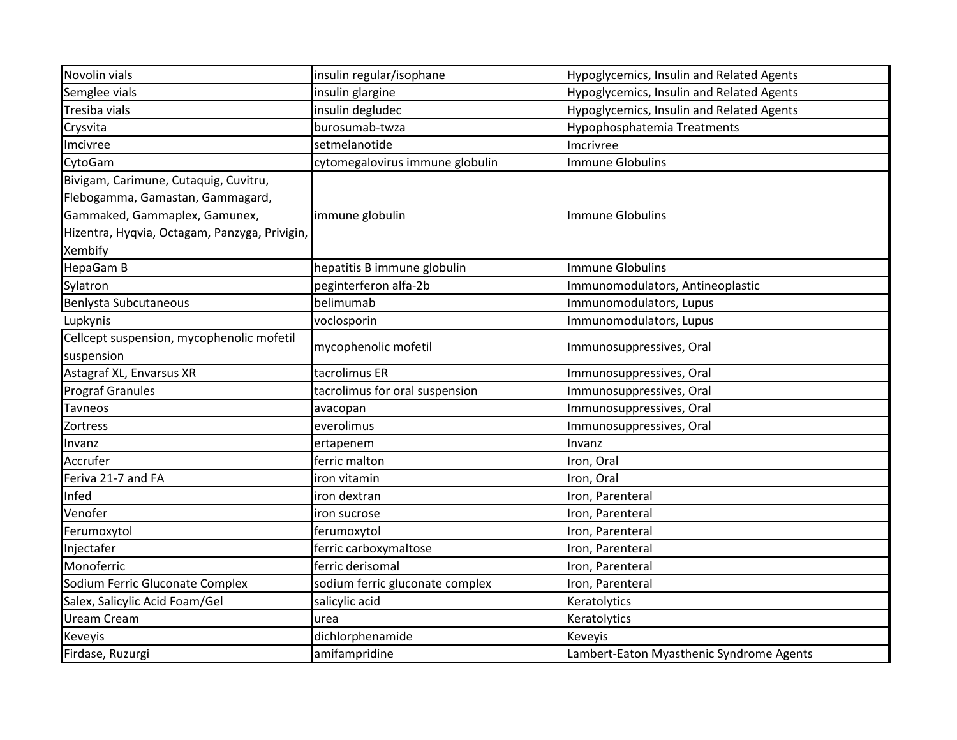| Novolin vials                                 | insulin regular/isophane        | Hypoglycemics, Insulin and Related Agents |
|-----------------------------------------------|---------------------------------|-------------------------------------------|
| Semglee vials                                 | insulin glargine                | Hypoglycemics, Insulin and Related Agents |
| Tresiba vials                                 | insulin degludec                | Hypoglycemics, Insulin and Related Agents |
| Crysvita                                      | burosumab-twza                  | Hypophosphatemia Treatments               |
| Imcivree                                      | setmelanotide                   | Imcrivree                                 |
| CytoGam                                       | cytomegalovirus immune globulin | <b>Immune Globulins</b>                   |
| Bivigam, Carimune, Cutaquig, Cuvitru,         |                                 |                                           |
| Flebogamma, Gamastan, Gammagard,              |                                 |                                           |
| Gammaked, Gammaplex, Gamunex,                 | immune globulin                 | Immune Globulins                          |
| Hizentra, Hyqvia, Octagam, Panzyga, Privigin, |                                 |                                           |
| Xembify                                       |                                 |                                           |
| <b>HepaGam B</b>                              | hepatitis B immune globulin     | <b>Immune Globulins</b>                   |
| Sylatron                                      | peginterferon alfa-2b           | Immunomodulators, Antineoplastic          |
| <b>Benlysta Subcutaneous</b>                  | belimumab                       | Immunomodulators, Lupus                   |
| Lupkynis                                      | voclosporin                     | Immunomodulators, Lupus                   |
| Cellcept suspension, mycophenolic mofetil     | mycophenolic mofetil            | Immunosuppressives, Oral                  |
| suspension                                    |                                 |                                           |
| Astagraf XL, Envarsus XR                      | tacrolimus ER                   | Immunosuppressives, Oral                  |
| <b>Prograf Granules</b>                       | tacrolimus for oral suspension  | Immunosuppressives, Oral                  |
| Tavneos                                       | avacopan                        | Immunosuppressives, Oral                  |
| Zortress                                      | everolimus                      | Immunosuppressives, Oral                  |
| Invanz                                        | ertapenem                       | Invanz                                    |
| Accrufer                                      | ferric malton                   | Iron, Oral                                |
| Feriva 21-7 and FA                            | iron vitamin                    | Iron, Oral                                |
| Infed                                         | iron dextran                    | Iron, Parenteral                          |
| Venofer                                       | iron sucrose                    | Iron, Parenteral                          |
| Ferumoxytol                                   | ferumoxytol                     | Iron, Parenteral                          |
| Injectafer                                    | ferric carboxymaltose           | Iron, Parenteral                          |
| Monoferric                                    | ferric derisomal                | Iron, Parenteral                          |
| Sodium Ferric Gluconate Complex               | sodium ferric gluconate complex | Iron, Parenteral                          |
| Salex, Salicylic Acid Foam/Gel                | salicylic acid                  | Keratolytics                              |
| Uream Cream                                   | urea                            | Keratolytics                              |
| Keveyis                                       | dichlorphenamide                | Keveyis                                   |
| Firdase, Ruzurgi                              | amifampridine                   | Lambert-Eaton Myasthenic Syndrome Agents  |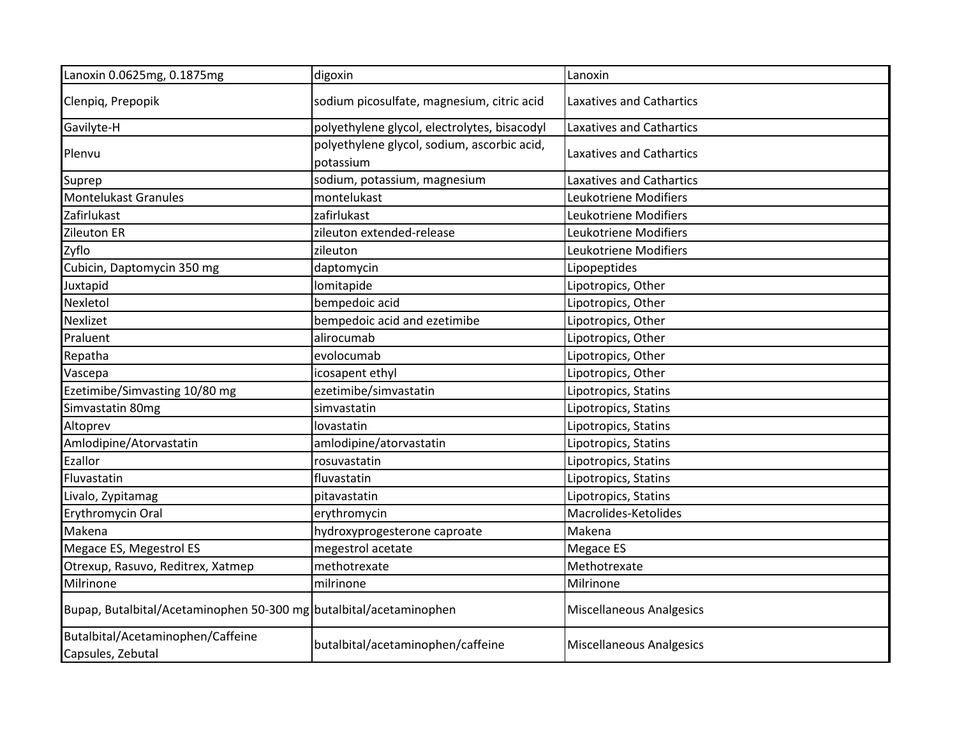| Lanoxin 0.0625mg, 0.1875mg                                         | digoxin                                                  | Lanoxin                         |
|--------------------------------------------------------------------|----------------------------------------------------------|---------------------------------|
| Clenpiq, Prepopik                                                  | sodium picosulfate, magnesium, citric acid               | <b>Laxatives and Cathartics</b> |
| Gavilyte-H                                                         | polyethylene glycol, electrolytes, bisacodyl             | <b>Laxatives and Cathartics</b> |
| Plenvu                                                             | polyethylene glycol, sodium, ascorbic acid,<br>potassium | Laxatives and Cathartics        |
| Suprep                                                             | sodium, potassium, magnesium                             | <b>Laxatives and Cathartics</b> |
| <b>Montelukast Granules</b>                                        | montelukast                                              | Leukotriene Modifiers           |
| Zafirlukast                                                        | zafirlukast                                              | Leukotriene Modifiers           |
| Zileuton ER                                                        | zileuton extended-release                                | Leukotriene Modifiers           |
| Zyflo                                                              | zileuton                                                 | Leukotriene Modifiers           |
| Cubicin, Daptomycin 350 mg                                         | daptomycin                                               | Lipopeptides                    |
| Juxtapid                                                           | lomitapide                                               | Lipotropics, Other              |
| Nexletol                                                           | bempedoic acid                                           | Lipotropics, Other              |
| Nexlizet                                                           | bempedoic acid and ezetimibe                             | Lipotropics, Other              |
| Praluent                                                           | alirocumab                                               | Lipotropics, Other              |
| Repatha                                                            | evolocumab                                               | Lipotropics, Other              |
| Vascepa                                                            | icosapent ethyl                                          | Lipotropics, Other              |
| Ezetimibe/Simvasting 10/80 mg                                      | ezetimibe/simvastatin                                    | Lipotropics, Statins            |
| Simvastatin 80mg                                                   | simvastatin                                              | Lipotropics, Statins            |
| Altoprev                                                           | lovastatin                                               | Lipotropics, Statins            |
| Amlodipine/Atorvastatin                                            | amlodipine/atorvastatin                                  | Lipotropics, Statins            |
| Ezallor                                                            | rosuvastatin                                             | Lipotropics, Statins            |
| Fluvastatin                                                        | fluvastatin                                              | Lipotropics, Statins            |
| Livalo, Zypitamag                                                  | pitavastatin                                             | Lipotropics, Statins            |
| Erythromycin Oral                                                  | erythromycin                                             | Macrolides-Ketolides            |
| Makena                                                             | hydroxyprogesterone caproate                             | Makena                          |
| Megace ES, Megestrol ES                                            | megestrol acetate                                        | Megace ES                       |
| Otrexup, Rasuvo, Reditrex, Xatmep                                  | methotrexate                                             | Methotrexate                    |
| Milrinone                                                          | milrinone                                                | Milrinone                       |
| Bupap, Butalbital/Acetaminophen 50-300 mg butalbital/acetaminophen |                                                          | <b>Miscellaneous Analgesics</b> |
| Butalbital/Acetaminophen/Caffeine<br>Capsules, Zebutal             | butalbital/acetaminophen/caffeine                        | <b>Miscellaneous Analgesics</b> |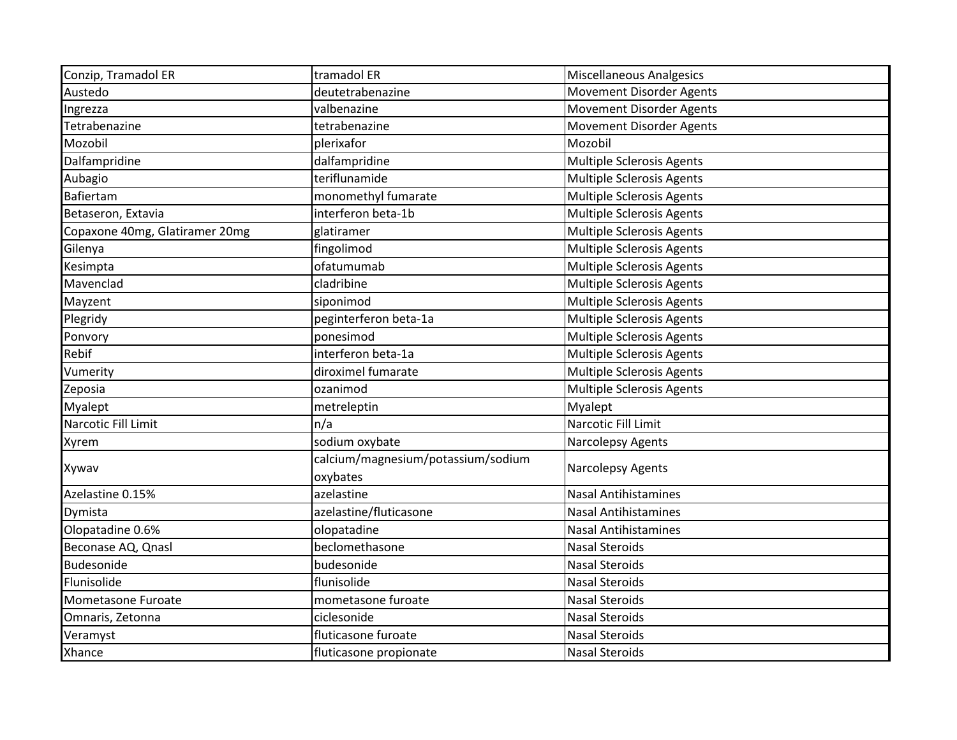| Conzip, Tramadol ER            | tramadol ER                        | <b>Miscellaneous Analgesics</b>  |
|--------------------------------|------------------------------------|----------------------------------|
| Austedo                        | deutetrabenazine                   | <b>Movement Disorder Agents</b>  |
| Ingrezza                       | valbenazine                        | <b>Movement Disorder Agents</b>  |
| Tetrabenazine                  | tetrabenazine                      | <b>Movement Disorder Agents</b>  |
| Mozobil                        | plerixafor                         | Mozobil                          |
| Dalfampridine                  | dalfampridine                      | Multiple Sclerosis Agents        |
| Aubagio                        | teriflunamide                      | Multiple Sclerosis Agents        |
| Bafiertam                      | monomethyl fumarate                | <b>Multiple Sclerosis Agents</b> |
| Betaseron, Extavia             | interferon beta-1b                 | Multiple Sclerosis Agents        |
| Copaxone 40mg, Glatiramer 20mg | glatiramer                         | <b>Multiple Sclerosis Agents</b> |
| Gilenya                        | fingolimod                         | <b>Multiple Sclerosis Agents</b> |
| Kesimpta                       | ofatumumab                         | <b>Multiple Sclerosis Agents</b> |
| Mavenclad                      | cladribine                         | <b>Multiple Sclerosis Agents</b> |
| Mayzent                        | siponimod                          | Multiple Sclerosis Agents        |
| Plegridy                       | peginterferon beta-1a              | <b>Multiple Sclerosis Agents</b> |
| Ponvory                        | ponesimod                          | Multiple Sclerosis Agents        |
| Rebif                          | interferon beta-1a                 | Multiple Sclerosis Agents        |
| Vumerity                       | diroximel fumarate                 | <b>Multiple Sclerosis Agents</b> |
| Zeposia                        | ozanimod                           | Multiple Sclerosis Agents        |
| <b>Myalept</b>                 | metreleptin                        | Myalept                          |
| Narcotic Fill Limit            | n/a                                | Narcotic Fill Limit              |
| Xyrem                          | sodium oxybate                     | Narcolepsy Agents                |
|                                | calcium/magnesium/potassium/sodium | Narcolepsy Agents                |
| Xywav                          | oxybates                           |                                  |
| Azelastine 0.15%               | azelastine                         | <b>Nasal Antihistamines</b>      |
| Dymista                        | azelastine/fluticasone             | <b>Nasal Antihistamines</b>      |
| Olopatadine 0.6%               | olopatadine                        | <b>Nasal Antihistamines</b>      |
| Beconase AQ, Qnasl             | beclomethasone                     | <b>Nasal Steroids</b>            |
| <b>Budesonide</b>              | budesonide                         | <b>Nasal Steroids</b>            |
| Flunisolide                    | flunisolide                        | <b>Nasal Steroids</b>            |
| Mometasone Furoate             | mometasone furoate                 | <b>Nasal Steroids</b>            |
| Omnaris, Zetonna               | ciclesonide                        | <b>Nasal Steroids</b>            |
| Veramyst                       | fluticasone furoate                | <b>Nasal Steroids</b>            |
| <b>Xhance</b>                  | fluticasone propionate             | <b>Nasal Steroids</b>            |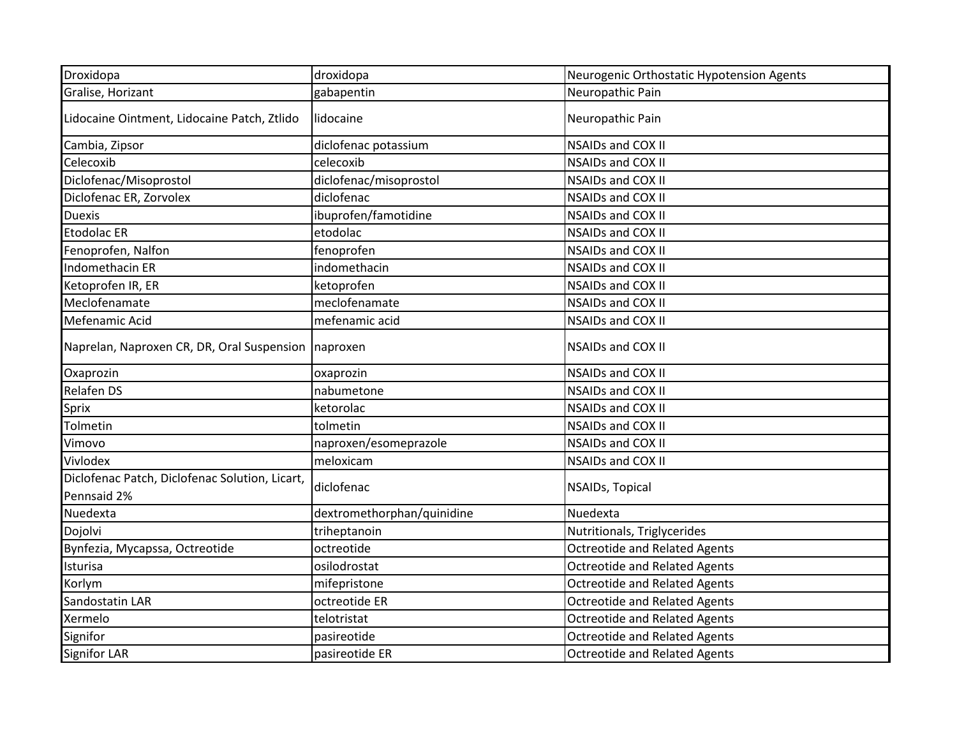| Droxidopa                                                     | droxidopa                  | Neurogenic Orthostatic Hypotension Agents |
|---------------------------------------------------------------|----------------------------|-------------------------------------------|
| Gralise, Horizant                                             | gabapentin                 | Neuropathic Pain                          |
| Lidocaine Ointment, Lidocaine Patch, Ztlido                   | lidocaine                  | Neuropathic Pain                          |
| Cambia, Zipsor                                                | diclofenac potassium       | <b>NSAIDs and COX II</b>                  |
| Celecoxib                                                     | celecoxib                  | <b>NSAIDs and COX II</b>                  |
| Diclofenac/Misoprostol                                        | diclofenac/misoprostol     | <b>NSAIDs and COX II</b>                  |
| Diclofenac ER, Zorvolex                                       | diclofenac                 | <b>NSAIDs and COX II</b>                  |
| <b>Duexis</b>                                                 | ibuprofen/famotidine       | <b>NSAIDs and COX II</b>                  |
| <b>Etodolac ER</b>                                            | etodolac                   | <b>NSAIDs and COX II</b>                  |
| Fenoprofen, Nalfon                                            | fenoprofen                 | <b>NSAIDs and COX II</b>                  |
| Indomethacin ER                                               | indomethacin               | <b>NSAIDs and COX II</b>                  |
| Ketoprofen IR, ER                                             | ketoprofen                 | <b>NSAIDs and COX II</b>                  |
| Meclofenamate                                                 | meclofenamate              | <b>NSAIDs and COX II</b>                  |
| Mefenamic Acid                                                | mefenamic acid             | <b>NSAIDs and COX II</b>                  |
| Naprelan, Naproxen CR, DR, Oral Suspension                    | naproxen                   | <b>NSAIDs and COX II</b>                  |
| Oxaprozin                                                     | oxaprozin                  | <b>NSAIDs and COX II</b>                  |
| <b>Relafen DS</b>                                             | nabumetone                 | <b>NSAIDs and COX II</b>                  |
| Sprix                                                         | ketorolac                  | <b>NSAIDs and COX II</b>                  |
| Tolmetin                                                      | tolmetin                   | <b>NSAIDs and COX II</b>                  |
| Vimovo                                                        | naproxen/esomeprazole      | <b>NSAIDs and COX II</b>                  |
| Vivlodex                                                      | meloxicam                  | <b>NSAIDs and COX II</b>                  |
| Diclofenac Patch, Diclofenac Solution, Licart,<br>Pennsaid 2% | diclofenac                 | NSAIDs, Topical                           |
| Nuedexta                                                      | dextromethorphan/quinidine | Nuedexta                                  |
| Dojolvi                                                       | triheptanoin               | Nutritionals, Triglycerides               |
| Bynfezia, Mycapssa, Octreotide                                | octreotide                 | <b>Octreotide and Related Agents</b>      |
| Isturisa                                                      | osilodrostat               | <b>Octreotide and Related Agents</b>      |
| Korlym                                                        | mifepristone               | <b>Octreotide and Related Agents</b>      |
| Sandostatin LAR                                               | octreotide ER              | <b>Octreotide and Related Agents</b>      |
| Xermelo                                                       | telotristat                | <b>Octreotide and Related Agents</b>      |
| Signifor                                                      | pasireotide                | <b>Octreotide and Related Agents</b>      |
| <b>Signifor LAR</b>                                           | pasireotide ER             | <b>Octreotide and Related Agents</b>      |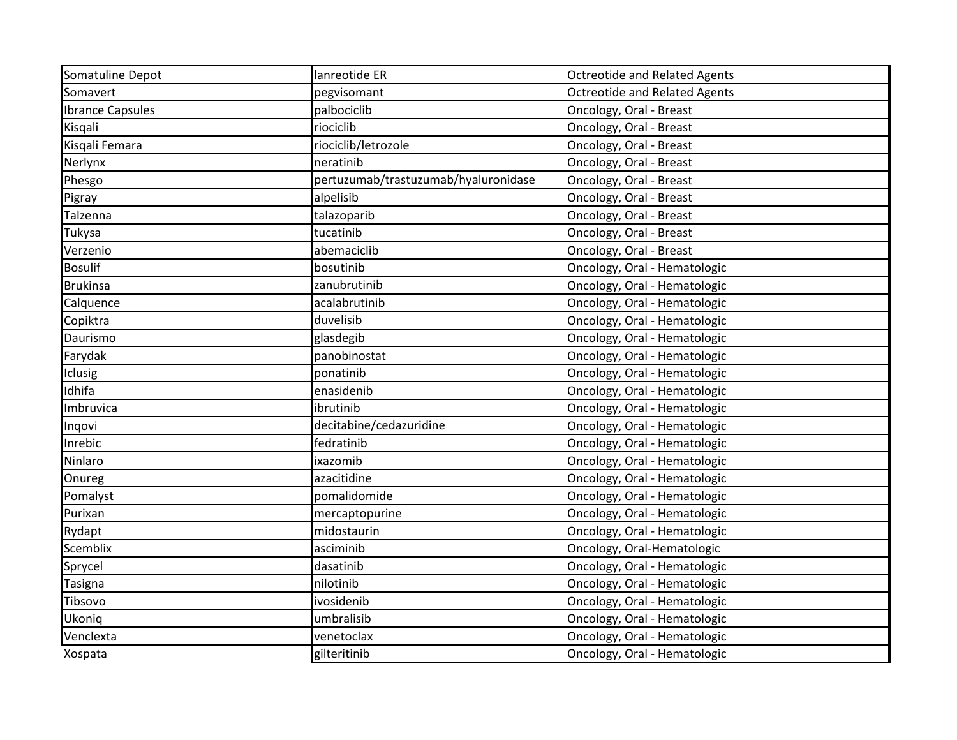| Somatuline Depot        | lanreotide ER                        | <b>Octreotide and Related Agents</b> |
|-------------------------|--------------------------------------|--------------------------------------|
| Somavert                |                                      | <b>Octreotide and Related Agents</b> |
|                         | pegvisomant                          |                                      |
| <b>Ibrance Capsules</b> | palbociclib                          | Oncology, Oral - Breast              |
| Kisgali                 | riociclib                            | Oncology, Oral - Breast              |
| Kisqali Femara          | riociclib/letrozole                  | Oncology, Oral - Breast              |
| Nerlynx                 | neratinib                            | Oncology, Oral - Breast              |
| Phesgo                  | pertuzumab/trastuzumab/hyaluronidase | Oncology, Oral - Breast              |
| Pigray                  | alpelisib                            | Oncology, Oral - Breast              |
| Talzenna                | talazoparib                          | Oncology, Oral - Breast              |
| Tukysa                  | tucatinib                            | Oncology, Oral - Breast              |
| Verzenio                | abemaciclib                          | Oncology, Oral - Breast              |
| <b>Bosulif</b>          | bosutinib                            | Oncology, Oral - Hematologic         |
| <b>Brukinsa</b>         | zanubrutinib                         | Oncology, Oral - Hematologic         |
| Calquence               | acalabrutinib                        | Oncology, Oral - Hematologic         |
| Copiktra                | duvelisib                            | Oncology, Oral - Hematologic         |
| Daurismo                | glasdegib                            | Oncology, Oral - Hematologic         |
| Farydak                 | panobinostat                         | Oncology, Oral - Hematologic         |
| Iclusig                 | ponatinib                            | Oncology, Oral - Hematologic         |
| Idhifa                  | enasidenib                           | Oncology, Oral - Hematologic         |
| Imbruvica               | ibrutinib                            | Oncology, Oral - Hematologic         |
| Inqovi                  | decitabine/cedazuridine              | Oncology, Oral - Hematologic         |
| Inrebic                 | fedratinib                           | Oncology, Oral - Hematologic         |
| Ninlaro                 | ixazomib                             | Oncology, Oral - Hematologic         |
| Onureg                  | azacitidine                          | Oncology, Oral - Hematologic         |
| Pomalyst                | pomalidomide                         | Oncology, Oral - Hematologic         |
| Purixan                 | mercaptopurine                       | Oncology, Oral - Hematologic         |
| Rydapt                  | midostaurin                          | Oncology, Oral - Hematologic         |
| Scemblix                | asciminib                            | Oncology, Oral-Hematologic           |
| Sprycel                 | dasatinib                            | Oncology, Oral - Hematologic         |
| <b>Tasigna</b>          | nilotinib                            | Oncology, Oral - Hematologic         |
| Tibsovo                 | ivosidenib                           | Oncology, Oral - Hematologic         |
| Ukoniq                  | umbralisib                           | Oncology, Oral - Hematologic         |
| Venclexta               | venetoclax                           | Oncology, Oral - Hematologic         |
| Xospata                 | gilteritinib                         | Oncology, Oral - Hematologic         |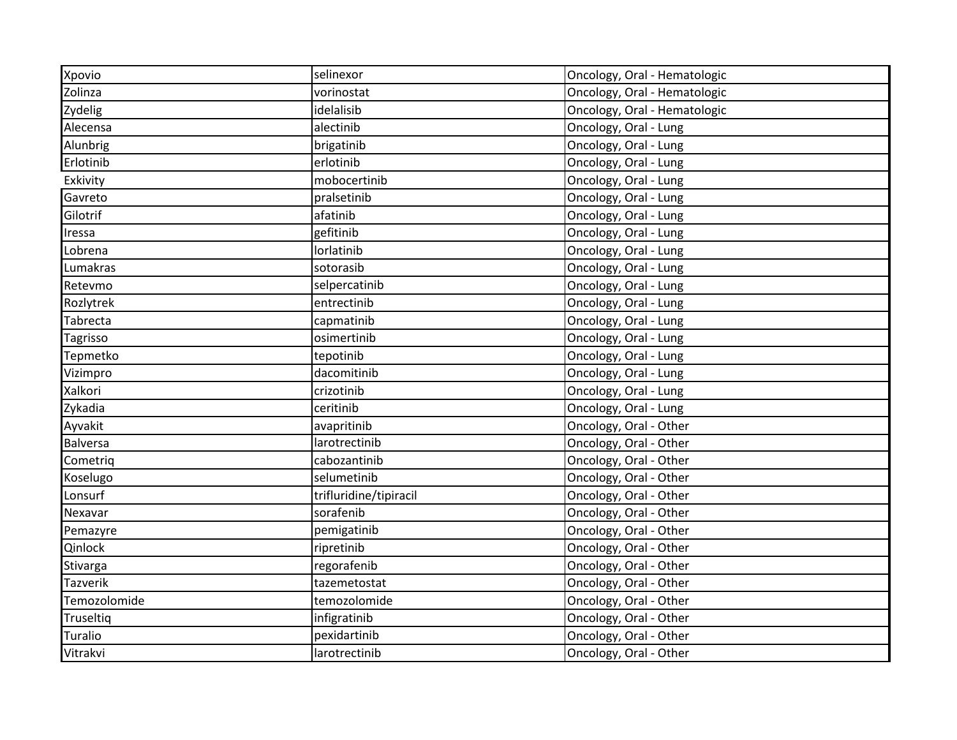| Xpovio          | selinexor              | Oncology, Oral - Hematologic |
|-----------------|------------------------|------------------------------|
| Zolinza         | vorinostat             | Oncology, Oral - Hematologic |
| Zydelig         | idelalisib             | Oncology, Oral - Hematologic |
| Alecensa        | alectinib              | Oncology, Oral - Lung        |
| Alunbrig        | brigatinib             | Oncology, Oral - Lung        |
| Erlotinib       | erlotinib              | Oncology, Oral - Lung        |
| Exkivity        | mobocertinib           | Oncology, Oral - Lung        |
| Gavreto         | pralsetinib            | Oncology, Oral - Lung        |
| Gilotrif        | afatinib               | Oncology, Oral - Lung        |
| Iressa          | gefitinib              | Oncology, Oral - Lung        |
| Lobrena         | lorlatinib             | Oncology, Oral - Lung        |
| Lumakras        | sotorasib              | Oncology, Oral - Lung        |
| Retevmo         | selpercatinib          | Oncology, Oral - Lung        |
| Rozlytrek       | entrectinib            | Oncology, Oral - Lung        |
| Tabrecta        | capmatinib             | Oncology, Oral - Lung        |
| Tagrisso        | osimertinib            | Oncology, Oral - Lung        |
| Tepmetko        | tepotinib              | Oncology, Oral - Lung        |
| Vizimpro        | dacomitinib            | Oncology, Oral - Lung        |
| Xalkori         | crizotinib             | Oncology, Oral - Lung        |
| Zykadia         | ceritinib              | Oncology, Oral - Lung        |
| Ayvakit         | avapritinib            | Oncology, Oral - Other       |
| <b>Balversa</b> | larotrectinib          | Oncology, Oral - Other       |
| Cometriq        | cabozantinib           | Oncology, Oral - Other       |
| Koselugo        | selumetinib            | Oncology, Oral - Other       |
| Lonsurf         | trifluridine/tipiracil | Oncology, Oral - Other       |
| Nexavar         | sorafenib              | Oncology, Oral - Other       |
| Pemazyre        | pemigatinib            | Oncology, Oral - Other       |
| Qinlock         | ripretinib             | Oncology, Oral - Other       |
| Stivarga        | regorafenib            | Oncology, Oral - Other       |
| <b>Tazverik</b> | tazemetostat           | Oncology, Oral - Other       |
| Temozolomide    | temozolomide           | Oncology, Oral - Other       |
| Truseltiq       | infigratinib           | Oncology, Oral - Other       |
| <b>Turalio</b>  | pexidartinib           | Oncology, Oral - Other       |
| Vitrakvi        | larotrectinib          | Oncology, Oral - Other       |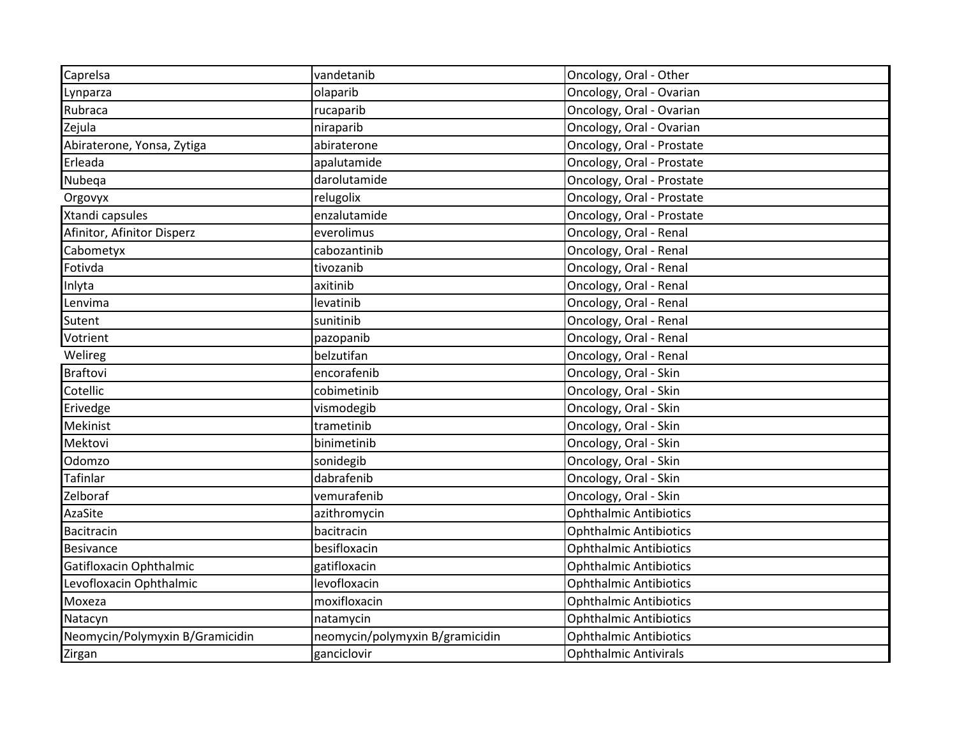| Caprelsa                        | vandetanib                      | Oncology, Oral - Other        |
|---------------------------------|---------------------------------|-------------------------------|
| Lynparza                        | olaparib                        | Oncology, Oral - Ovarian      |
| Rubraca                         | rucaparib                       | Oncology, Oral - Ovarian      |
| Zejula                          | niraparib                       | Oncology, Oral - Ovarian      |
| Abiraterone, Yonsa, Zytiga      | abiraterone                     | Oncology, Oral - Prostate     |
| Erleada                         | apalutamide                     | Oncology, Oral - Prostate     |
| Nubeqa                          | darolutamide                    | Oncology, Oral - Prostate     |
| Orgovyx                         | relugolix                       | Oncology, Oral - Prostate     |
| Xtandi capsules                 | enzalutamide                    | Oncology, Oral - Prostate     |
| Afinitor, Afinitor Disperz      | everolimus                      | Oncology, Oral - Renal        |
| Cabometyx                       | cabozantinib                    | Oncology, Oral - Renal        |
| Fotivda                         | tivozanib                       | Oncology, Oral - Renal        |
| Inlyta                          | axitinib                        | Oncology, Oral - Renal        |
| Lenvima                         | levatinib                       | Oncology, Oral - Renal        |
| Sutent                          | sunitinib                       | Oncology, Oral - Renal        |
| Votrient                        | pazopanib                       | Oncology, Oral - Renal        |
| Welireg                         | belzutifan                      | Oncology, Oral - Renal        |
| <b>Braftovi</b>                 | encorafenib                     | Oncology, Oral - Skin         |
| Cotellic                        | cobimetinib                     | Oncology, Oral - Skin         |
| Erivedge                        | vismodegib                      | Oncology, Oral - Skin         |
| Mekinist                        | trametinib                      | Oncology, Oral - Skin         |
| Mektovi                         | binimetinib                     | Oncology, Oral - Skin         |
| Odomzo                          | sonidegib                       | Oncology, Oral - Skin         |
| <b>Tafinlar</b>                 | dabrafenib                      | Oncology, Oral - Skin         |
| Zelboraf                        | vemurafenib                     | Oncology, Oral - Skin         |
| AzaSite                         | azithromycin                    | <b>Ophthalmic Antibiotics</b> |
| <b>Bacitracin</b>               | bacitracin                      | <b>Ophthalmic Antibiotics</b> |
| <b>Besivance</b>                | besifloxacin                    | <b>Ophthalmic Antibiotics</b> |
| Gatifloxacin Ophthalmic         | gatifloxacin                    | <b>Ophthalmic Antibiotics</b> |
| Levofloxacin Ophthalmic         | levofloxacin                    | <b>Ophthalmic Antibiotics</b> |
| Moxeza                          | moxifloxacin                    | <b>Ophthalmic Antibiotics</b> |
| Natacyn                         | natamycin                       | <b>Ophthalmic Antibiotics</b> |
| Neomycin/Polymyxin B/Gramicidin | neomycin/polymyxin B/gramicidin | <b>Ophthalmic Antibiotics</b> |
| Zirgan                          | ganciclovir                     | <b>Ophthalmic Antivirals</b>  |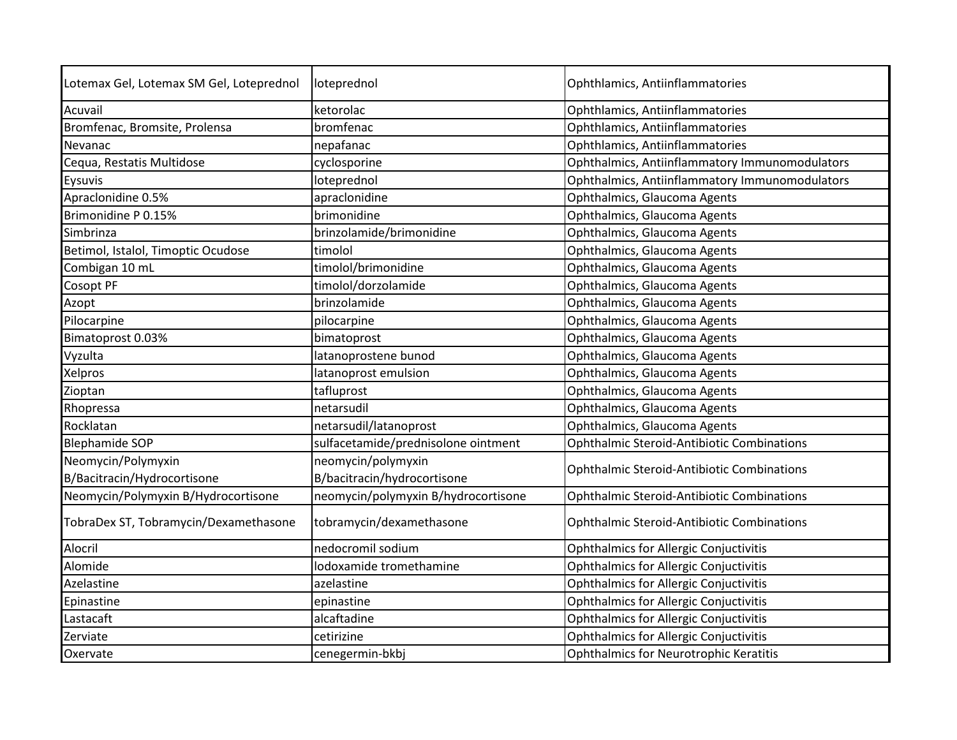| Lotemax Gel, Lotemax SM Gel, Loteprednol | loteprednol                         | Ophthlamics, Antiinflammatories                   |
|------------------------------------------|-------------------------------------|---------------------------------------------------|
| Acuvail                                  | ketorolac                           | Ophthlamics, Antiinflammatories                   |
| Bromfenac, Bromsite, Prolensa            | bromfenac                           | Ophthlamics, Antiinflammatories                   |
| Nevanac                                  | nepafanac                           | Ophthlamics, Antiinflammatories                   |
| Cequa, Restatis Multidose                | cyclosporine                        | Ophthalmics, Antiinflammatory Immunomodulators    |
| Eysuvis                                  | loteprednol                         | Ophthalmics, Antiinflammatory Immunomodulators    |
| Apraclonidine 0.5%                       | apraclonidine                       | Ophthalmics, Glaucoma Agents                      |
| Brimonidine P 0.15%                      | brimonidine                         | Ophthalmics, Glaucoma Agents                      |
| Simbrinza                                | brinzolamide/brimonidine            | Ophthalmics, Glaucoma Agents                      |
| Betimol, Istalol, Timoptic Ocudose       | timolol                             | Ophthalmics, Glaucoma Agents                      |
| Combigan 10 mL                           | timolol/brimonidine                 | Ophthalmics, Glaucoma Agents                      |
| Cosopt PF                                | timolol/dorzolamide                 | Ophthalmics, Glaucoma Agents                      |
| Azopt                                    | brinzolamide                        | Ophthalmics, Glaucoma Agents                      |
| Pilocarpine                              | pilocarpine                         | Ophthalmics, Glaucoma Agents                      |
| Bimatoprost 0.03%                        | bimatoprost                         | Ophthalmics, Glaucoma Agents                      |
| Vyzulta                                  | latanoprostene bunod                | Ophthalmics, Glaucoma Agents                      |
| Xelpros                                  | latanoprost emulsion                | Ophthalmics, Glaucoma Agents                      |
| Zioptan                                  | tafluprost                          | Ophthalmics, Glaucoma Agents                      |
| Rhopressa                                | netarsudil                          | Ophthalmics, Glaucoma Agents                      |
| Rocklatan                                | netarsudil/latanoprost              | Ophthalmics, Glaucoma Agents                      |
| <b>Blephamide SOP</b>                    | sulfacetamide/prednisolone ointment | <b>Ophthalmic Steroid-Antibiotic Combinations</b> |
| Neomycin/Polymyxin                       | neomycin/polymyxin                  |                                                   |
| B/Bacitracin/Hydrocortisone              | B/bacitracin/hydrocortisone         | Ophthalmic Steroid-Antibiotic Combinations        |
| Neomycin/Polymyxin B/Hydrocortisone      | neomycin/polymyxin B/hydrocortisone | <b>Ophthalmic Steroid-Antibiotic Combinations</b> |
| TobraDex ST, Tobramycin/Dexamethasone    | tobramycin/dexamethasone            | Ophthalmic Steroid-Antibiotic Combinations        |
| Alocril                                  | nedocromil sodium                   | <b>Ophthalmics for Allergic Conjuctivitis</b>     |
| Alomide                                  | lodoxamide tromethamine             | <b>Ophthalmics for Allergic Conjuctivitis</b>     |
| Azelastine                               | azelastine                          | <b>Ophthalmics for Allergic Conjuctivitis</b>     |
| Epinastine                               | epinastine                          | <b>Ophthalmics for Allergic Conjuctivitis</b>     |
| Lastacaft                                | alcaftadine                         | <b>Ophthalmics for Allergic Conjuctivitis</b>     |
| Zerviate                                 | cetirizine                          | <b>Ophthalmics for Allergic Conjuctivitis</b>     |
| Oxervate                                 | cenegermin-bkbj                     | <b>Ophthalmics for Neurotrophic Keratitis</b>     |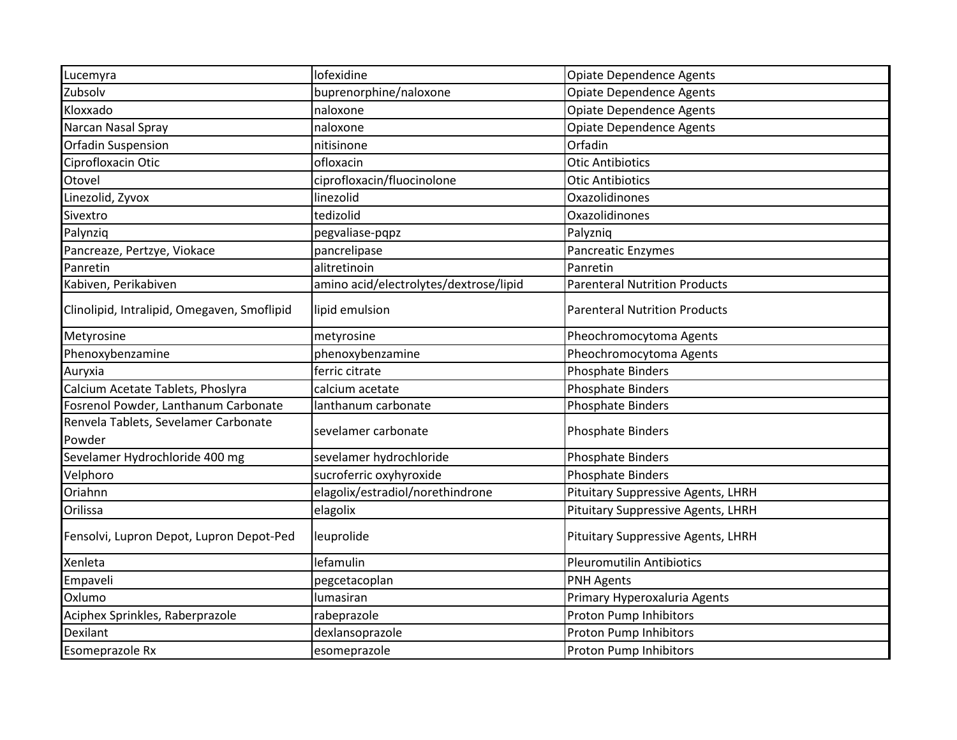| Lucemyra                                       | lofexidine                             | <b>Opiate Dependence Agents</b>      |
|------------------------------------------------|----------------------------------------|--------------------------------------|
| Zubsolv                                        | buprenorphine/naloxone                 | Opiate Dependence Agents             |
| Kloxxado                                       | naloxone                               | <b>Opiate Dependence Agents</b>      |
| Narcan Nasal Spray                             | naloxone                               | <b>Opiate Dependence Agents</b>      |
| Orfadin Suspension                             | nitisinone                             | Orfadin                              |
| Ciprofloxacin Otic                             | ofloxacin                              | <b>Otic Antibiotics</b>              |
| Otovel                                         | ciprofloxacin/fluocinolone             | <b>Otic Antibiotics</b>              |
| Linezolid, Zyvox                               | linezolid                              | Oxazolidinones                       |
| Sivextro                                       | tedizolid                              | Oxazolidinones                       |
| Palynziq                                       | pegvaliase-pqpz                        | Palyzniq                             |
| Pancreaze, Pertzye, Viokace                    | pancrelipase                           | <b>Pancreatic Enzymes</b>            |
| Panretin                                       | alitretinoin                           | Panretin                             |
| Kabiven, Perikabiven                           | amino acid/electrolytes/dextrose/lipid | <b>Parenteral Nutrition Products</b> |
| Clinolipid, Intralipid, Omegaven, Smoflipid    | lipid emulsion                         | <b>Parenteral Nutrition Products</b> |
| Metyrosine                                     | metyrosine                             | Pheochromocytoma Agents              |
| Phenoxybenzamine                               | phenoxybenzamine                       | Pheochromocytoma Agents              |
| Auryxia                                        | ferric citrate                         | <b>Phosphate Binders</b>             |
| Calcium Acetate Tablets, Phoslyra              | calcium acetate                        | <b>Phosphate Binders</b>             |
| Fosrenol Powder, Lanthanum Carbonate           | lanthanum carbonate                    | <b>Phosphate Binders</b>             |
| Renvela Tablets, Sevelamer Carbonate<br>Powder | sevelamer carbonate                    | Phosphate Binders                    |
| Sevelamer Hydrochloride 400 mg                 | sevelamer hydrochloride                | <b>Phosphate Binders</b>             |
| Velphoro                                       | sucroferric oxyhyroxide                | <b>Phosphate Binders</b>             |
| Oriahnn                                        | elagolix/estradiol/norethindrone       | Pituitary Suppressive Agents, LHRH   |
| Orilissa                                       | elagolix                               | Pituitary Suppressive Agents, LHRH   |
| Fensolvi, Lupron Depot, Lupron Depot-Ped       | leuprolide                             | Pituitary Suppressive Agents, LHRH   |
| Xenleta                                        | lefamulin                              | <b>Pleuromutilin Antibiotics</b>     |
| Empaveli                                       | pegcetacoplan                          | <b>PNH Agents</b>                    |
| Oxlumo                                         | lumasiran                              | Primary Hyperoxaluria Agents         |
| Aciphex Sprinkles, Raberprazole                | rabeprazole                            | Proton Pump Inhibitors               |
| <b>Dexilant</b>                                | dexlansoprazole                        | Proton Pump Inhibitors               |
| <b>Esomeprazole Rx</b>                         | esomeprazole                           | Proton Pump Inhibitors               |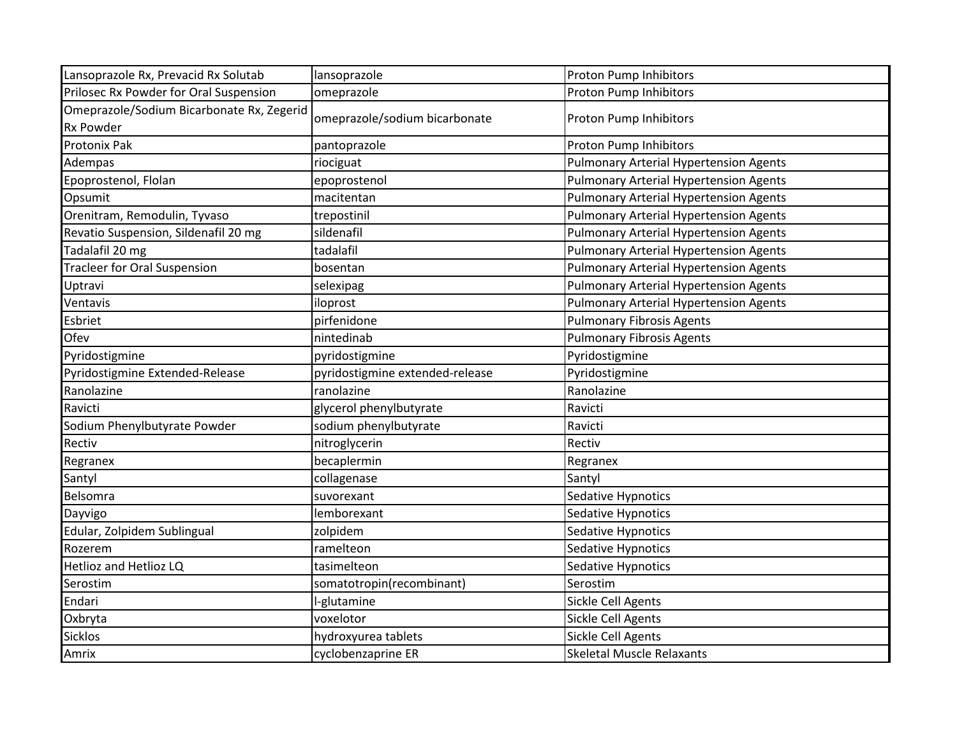| Lansoprazole Rx, Prevacid Rx Solutab      | lansoprazole                    | Proton Pump Inhibitors                        |
|-------------------------------------------|---------------------------------|-----------------------------------------------|
| Prilosec Rx Powder for Oral Suspension    | omeprazole                      | Proton Pump Inhibitors                        |
| Omeprazole/Sodium Bicarbonate Rx, Zegerid | omeprazole/sodium bicarbonate   | Proton Pump Inhibitors                        |
| <b>Rx Powder</b>                          |                                 |                                               |
| Protonix Pak                              | pantoprazole                    | Proton Pump Inhibitors                        |
| Adempas                                   | riociguat                       | <b>Pulmonary Arterial Hypertension Agents</b> |
| Epoprostenol, Flolan                      | epoprostenol                    | <b>Pulmonary Arterial Hypertension Agents</b> |
| Opsumit                                   | macitentan                      | <b>Pulmonary Arterial Hypertension Agents</b> |
| Orenitram, Remodulin, Tyvaso              | trepostinil                     | <b>Pulmonary Arterial Hypertension Agents</b> |
| Revatio Suspension, Sildenafil 20 mg      | sildenafil                      | <b>Pulmonary Arterial Hypertension Agents</b> |
| Tadalafil 20 mg                           | tadalafil                       | <b>Pulmonary Arterial Hypertension Agents</b> |
| <b>Tracleer for Oral Suspension</b>       | bosentan                        | <b>Pulmonary Arterial Hypertension Agents</b> |
| Uptravi                                   | selexipag                       | <b>Pulmonary Arterial Hypertension Agents</b> |
| Ventavis                                  | iloprost                        | <b>Pulmonary Arterial Hypertension Agents</b> |
| Esbriet                                   | pirfenidone                     | <b>Pulmonary Fibrosis Agents</b>              |
| Ofev                                      | nintedinab                      | <b>Pulmonary Fibrosis Agents</b>              |
| Pyridostigmine                            | pyridostigmine                  | Pyridostigmine                                |
| Pyridostigmine Extended-Release           | pyridostigmine extended-release | Pyridostigmine                                |
| Ranolazine                                | ranolazine                      | Ranolazine                                    |
| Ravicti                                   | glycerol phenylbutyrate         | Ravicti                                       |
| Sodium Phenylbutyrate Powder              | sodium phenylbutyrate           | Ravicti                                       |
| Rectiv                                    | nitroglycerin                   | Rectiv                                        |
| Regranex                                  | becaplermin                     | Regranex                                      |
| Santyl                                    | collagenase                     | Santyl                                        |
| Belsomra                                  | suvorexant                      | Sedative Hypnotics                            |
| Dayvigo                                   | lemborexant                     | Sedative Hypnotics                            |
| Edular, Zolpidem Sublingual               | zolpidem                        | Sedative Hypnotics                            |
| Rozerem                                   | ramelteon                       | Sedative Hypnotics                            |
| Hetlioz and Hetlioz LQ                    | tasimelteon                     | Sedative Hypnotics                            |
| Serostim                                  | somatotropin(recombinant)       | Serostim                                      |
| Endari                                    | I-glutamine                     | Sickle Cell Agents                            |
| Oxbryta                                   | voxelotor                       | Sickle Cell Agents                            |
| <b>Sicklos</b>                            | hydroxyurea tablets             | Sickle Cell Agents                            |
| Amrix                                     | cyclobenzaprine ER              | <b>Skeletal Muscle Relaxants</b>              |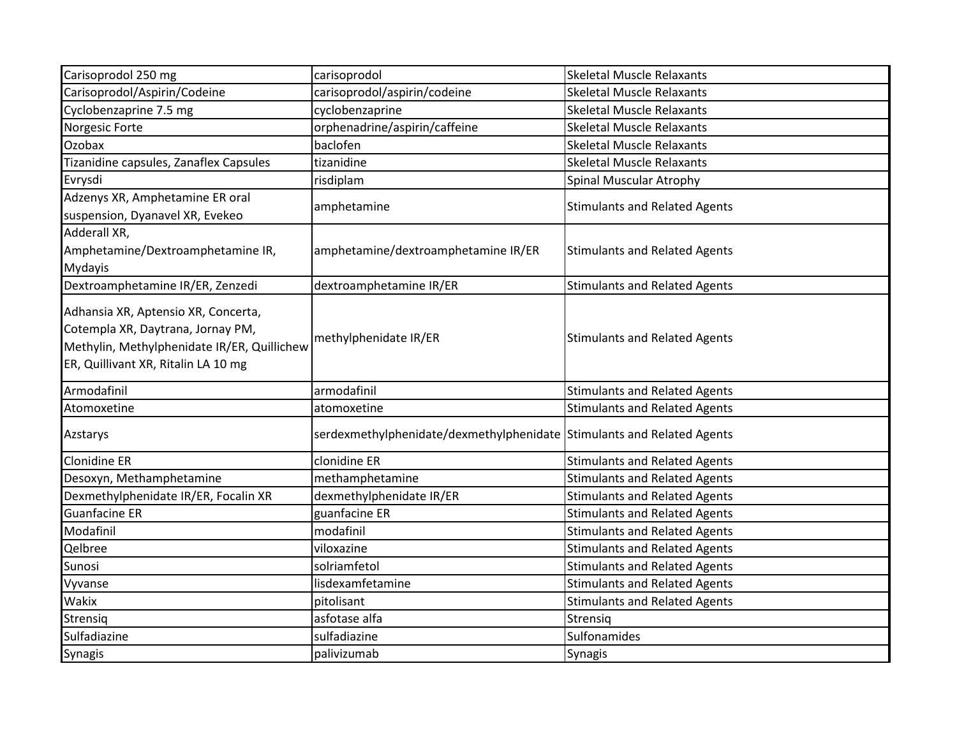| Carisoprodol 250 mg                                                                                                                                            | carisoprodol                                                           | <b>Skeletal Muscle Relaxants</b>     |
|----------------------------------------------------------------------------------------------------------------------------------------------------------------|------------------------------------------------------------------------|--------------------------------------|
| Carisoprodol/Aspirin/Codeine                                                                                                                                   | carisoprodol/aspirin/codeine                                           | <b>Skeletal Muscle Relaxants</b>     |
| Cyclobenzaprine 7.5 mg                                                                                                                                         | cyclobenzaprine                                                        | <b>Skeletal Muscle Relaxants</b>     |
| Norgesic Forte                                                                                                                                                 | orphenadrine/aspirin/caffeine                                          | <b>Skeletal Muscle Relaxants</b>     |
| Ozobax                                                                                                                                                         | baclofen                                                               | <b>Skeletal Muscle Relaxants</b>     |
| Tizanidine capsules, Zanaflex Capsules                                                                                                                         | tizanidine                                                             | <b>Skeletal Muscle Relaxants</b>     |
| Evrysdi                                                                                                                                                        | risdiplam                                                              | Spinal Muscular Atrophy              |
| Adzenys XR, Amphetamine ER oral<br>suspension, Dyanavel XR, Evekeo                                                                                             | amphetamine                                                            | <b>Stimulants and Related Agents</b> |
| Adderall XR,<br>Amphetamine/Dextroamphetamine IR,<br><b>Mydayis</b>                                                                                            | amphetamine/dextroamphetamine IR/ER                                    | <b>Stimulants and Related Agents</b> |
| Dextroamphetamine IR/ER, Zenzedi                                                                                                                               | dextroamphetamine IR/ER                                                | <b>Stimulants and Related Agents</b> |
| Adhansia XR, Aptensio XR, Concerta,<br>Cotempla XR, Daytrana, Jornay PM,<br>Methylin, Methylphenidate IR/ER, Quillichew<br>ER, Quillivant XR, Ritalin LA 10 mg | methylphenidate IR/ER                                                  | <b>Stimulants and Related Agents</b> |
| Armodafinil                                                                                                                                                    | armodafinil                                                            | <b>Stimulants and Related Agents</b> |
| Atomoxetine                                                                                                                                                    | atomoxetine                                                            | <b>Stimulants and Related Agents</b> |
| Azstarys                                                                                                                                                       | serdexmethylphenidate/dexmethylphenidate Stimulants and Related Agents |                                      |
| <b>Clonidine ER</b>                                                                                                                                            | clonidine ER                                                           | <b>Stimulants and Related Agents</b> |
| Desoxyn, Methamphetamine                                                                                                                                       | methamphetamine                                                        | <b>Stimulants and Related Agents</b> |
| Dexmethylphenidate IR/ER, Focalin XR                                                                                                                           | dexmethylphenidate IR/ER                                               | <b>Stimulants and Related Agents</b> |
| <b>Guanfacine ER</b>                                                                                                                                           | guanfacine ER                                                          | <b>Stimulants and Related Agents</b> |
| Modafinil                                                                                                                                                      | modafinil                                                              | <b>Stimulants and Related Agents</b> |
| Qelbree                                                                                                                                                        | viloxazine                                                             | <b>Stimulants and Related Agents</b> |
| Sunosi                                                                                                                                                         | solriamfetol                                                           | <b>Stimulants and Related Agents</b> |
| Vyvanse                                                                                                                                                        | lisdexamfetamine                                                       | <b>Stimulants and Related Agents</b> |
| Wakix                                                                                                                                                          | pitolisant                                                             | <b>Stimulants and Related Agents</b> |
| Strensiq                                                                                                                                                       | asfotase alfa                                                          | Strensig                             |
| Sulfadiazine                                                                                                                                                   | sulfadiazine                                                           | Sulfonamides                         |
| <b>Synagis</b>                                                                                                                                                 | palivizumab                                                            | Synagis                              |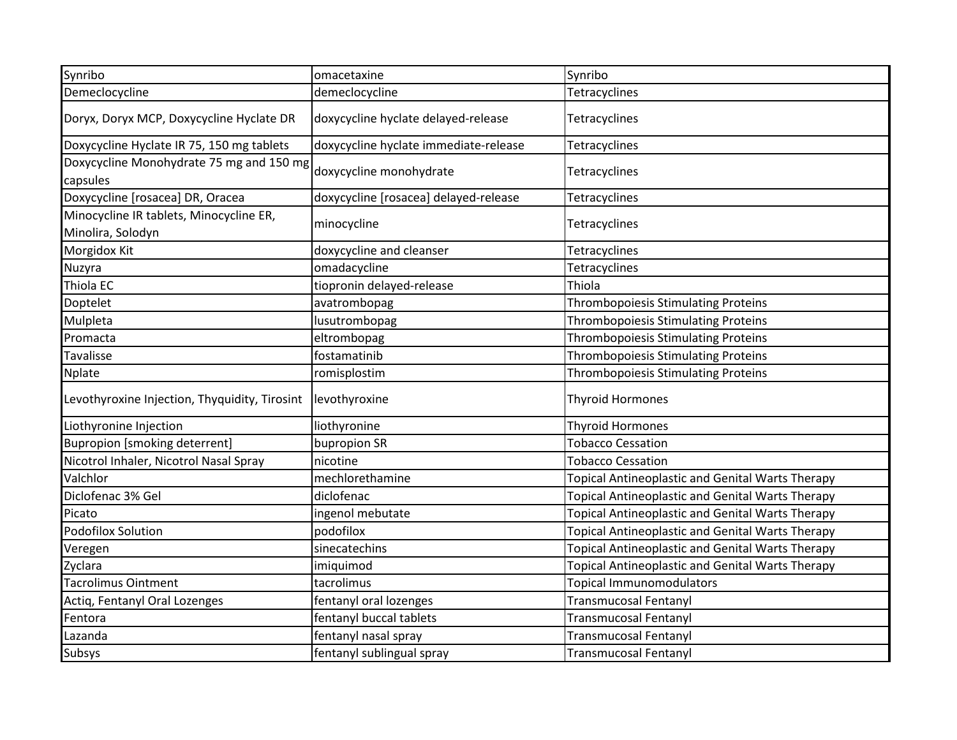| Synribo                                                      | omacetaxine                           | Synribo                                                 |
|--------------------------------------------------------------|---------------------------------------|---------------------------------------------------------|
| Demeclocycline                                               | demeclocycline                        | Tetracyclines                                           |
| Doryx, Doryx MCP, Doxycycline Hyclate DR                     | doxycycline hyclate delayed-release   | Tetracyclines                                           |
| Doxycycline Hyclate IR 75, 150 mg tablets                    | doxycycline hyclate immediate-release | Tetracyclines                                           |
| Doxycycline Monohydrate 75 mg and 150 mg<br>capsules         | doxycycline monohydrate               | Tetracyclines                                           |
| Doxycycline [rosacea] DR, Oracea                             | doxycycline [rosacea] delayed-release | Tetracyclines                                           |
| Minocycline IR tablets, Minocycline ER,<br>Minolira, Solodyn | minocycline                           | Tetracyclines                                           |
| Morgidox Kit                                                 | doxycycline and cleanser              | Tetracyclines                                           |
| Nuzyra                                                       | omadacycline                          | Tetracyclines                                           |
| Thiola EC                                                    | tiopronin delayed-release             | Thiola                                                  |
| Doptelet                                                     | avatrombopag                          | Thrombopoiesis Stimulating Proteins                     |
| Mulpleta                                                     | lusutrombopag                         | Thrombopoiesis Stimulating Proteins                     |
| Promacta                                                     | eltrombopag                           | Thrombopoiesis Stimulating Proteins                     |
| Tavalisse                                                    | fostamatinib                          | <b>Thrombopoiesis Stimulating Proteins</b>              |
| <b>Nplate</b>                                                | romisplostim                          | <b>Thrombopoiesis Stimulating Proteins</b>              |
| Levothyroxine Injection, Thyquidity, Tirosint                | levothyroxine                         | <b>Thyroid Hormones</b>                                 |
| Liothyronine Injection                                       | liothyronine                          | <b>Thyroid Hormones</b>                                 |
| <b>Bupropion [smoking deterrent]</b>                         | bupropion SR                          | <b>Tobacco Cessation</b>                                |
| Nicotrol Inhaler, Nicotrol Nasal Spray                       | nicotine                              | <b>Tobacco Cessation</b>                                |
| Valchlor                                                     | mechlorethamine                       | Topical Antineoplastic and Genital Warts Therapy        |
| Diclofenac 3% Gel                                            | diclofenac                            | Topical Antineoplastic and Genital Warts Therapy        |
| Picato                                                       | ingenol mebutate                      | Topical Antineoplastic and Genital Warts Therapy        |
| <b>Podofilox Solution</b>                                    | podofilox                             | Topical Antineoplastic and Genital Warts Therapy        |
| Veregen                                                      | sinecatechins                         | <b>Topical Antineoplastic and Genital Warts Therapy</b> |
| Zyclara                                                      | imiquimod                             | Topical Antineoplastic and Genital Warts Therapy        |
| Tacrolimus Ointment                                          | tacrolimus                            | <b>Topical Immunomodulators</b>                         |
| Actiq, Fentanyl Oral Lozenges                                | fentanyl oral lozenges                | <b>Transmucosal Fentanyl</b>                            |
| Fentora                                                      | fentanyl buccal tablets               | <b>Transmucosal Fentanyl</b>                            |
| Lazanda                                                      | fentanyl nasal spray                  | <b>Transmucosal Fentanyl</b>                            |
| <b>Subsys</b>                                                | fentanyl sublingual spray             | <b>Transmucosal Fentanyl</b>                            |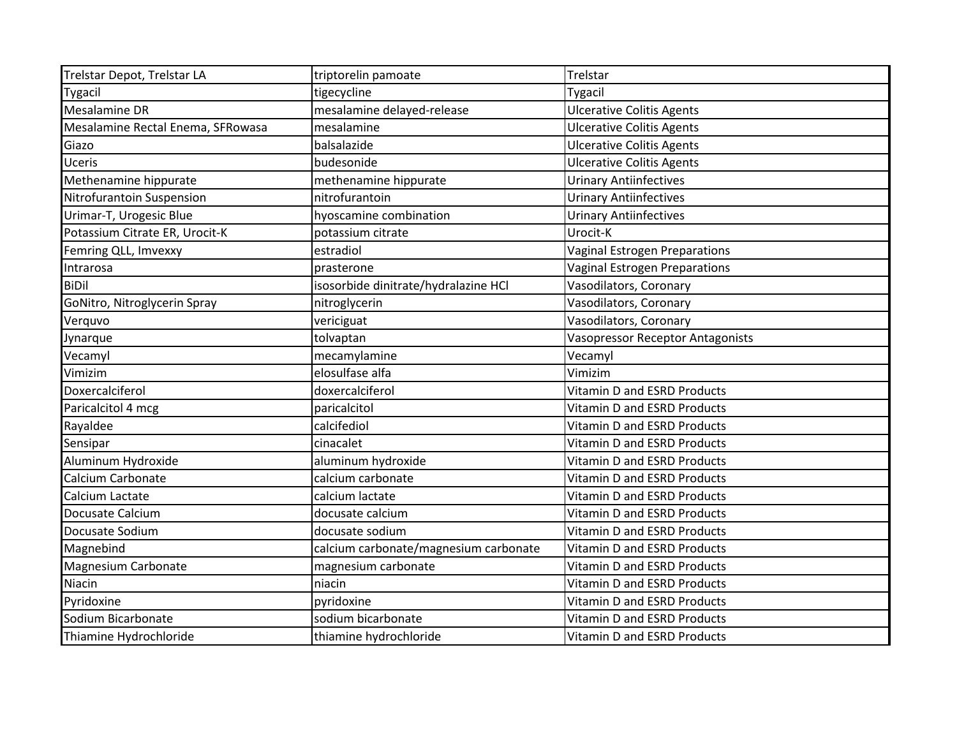| Trelstar Depot, Trelstar LA       | triptorelin pamoate                   | Trelstar                                |
|-----------------------------------|---------------------------------------|-----------------------------------------|
| Tygacil                           | tigecycline                           | <b>Tygacil</b>                          |
| <b>Mesalamine DR</b>              | mesalamine delayed-release            | <b>Ulcerative Colitis Agents</b>        |
| Mesalamine Rectal Enema, SFRowasa | mesalamine                            | <b>Ulcerative Colitis Agents</b>        |
| Giazo                             | balsalazide                           | <b>Ulcerative Colitis Agents</b>        |
| Uceris                            | budesonide                            | <b>Ulcerative Colitis Agents</b>        |
| Methenamine hippurate             | methenamine hippurate                 | <b>Urinary Antiinfectives</b>           |
| Nitrofurantoin Suspension         | nitrofurantoin                        | <b>Urinary Antiinfectives</b>           |
| Urimar-T, Urogesic Blue           | hyoscamine combination                | <b>Urinary Antiinfectives</b>           |
| Potassium Citrate ER, Urocit-K    | potassium citrate                     | Urocit-K                                |
| Femring QLL, Imvexxy              | estradiol                             | Vaginal Estrogen Preparations           |
| Intrarosa                         | prasterone                            | Vaginal Estrogen Preparations           |
| <b>BiDil</b>                      | isosorbide dinitrate/hydralazine HCl  | Vasodilators, Coronary                  |
| GoNitro, Nitroglycerin Spray      | nitroglycerin                         | Vasodilators, Coronary                  |
| Verquvo                           | vericiguat                            | Vasodilators, Coronary                  |
| Jynarque                          | tolvaptan                             | <b>Vasopressor Receptor Antagonists</b> |
| Vecamyl                           | mecamylamine                          | Vecamyl                                 |
| Vimizim                           | elosulfase alfa                       | Vimizim                                 |
| Doxercalciferol                   | doxercalciferol                       | Vitamin D and ESRD Products             |
| Paricalcitol 4 mcg                | paricalcitol                          | <b>Vitamin D and ESRD Products</b>      |
| Rayaldee                          | calcifediol                           | Vitamin D and ESRD Products             |
| Sensipar                          | cinacalet                             | <b>Vitamin D and ESRD Products</b>      |
| Aluminum Hydroxide                | aluminum hydroxide                    | <b>Vitamin D and ESRD Products</b>      |
| Calcium Carbonate                 | calcium carbonate                     | <b>Vitamin D and ESRD Products</b>      |
| Calcium Lactate                   | calcium lactate                       | <b>Vitamin D and ESRD Products</b>      |
| Docusate Calcium                  | docusate calcium                      | Vitamin D and ESRD Products             |
| Docusate Sodium                   | docusate sodium                       | <b>Vitamin D and ESRD Products</b>      |
| Magnebind                         | calcium carbonate/magnesium carbonate | Vitamin D and ESRD Products             |
| <b>Magnesium Carbonate</b>        | magnesium carbonate                   | <b>Vitamin D and ESRD Products</b>      |
| Niacin                            | niacin                                | Vitamin D and ESRD Products             |
| Pyridoxine                        | pyridoxine                            | <b>Vitamin D and ESRD Products</b>      |
| Sodium Bicarbonate                | sodium bicarbonate                    | Vitamin D and ESRD Products             |
| Thiamine Hydrochloride            | thiamine hydrochloride                | Vitamin D and ESRD Products             |